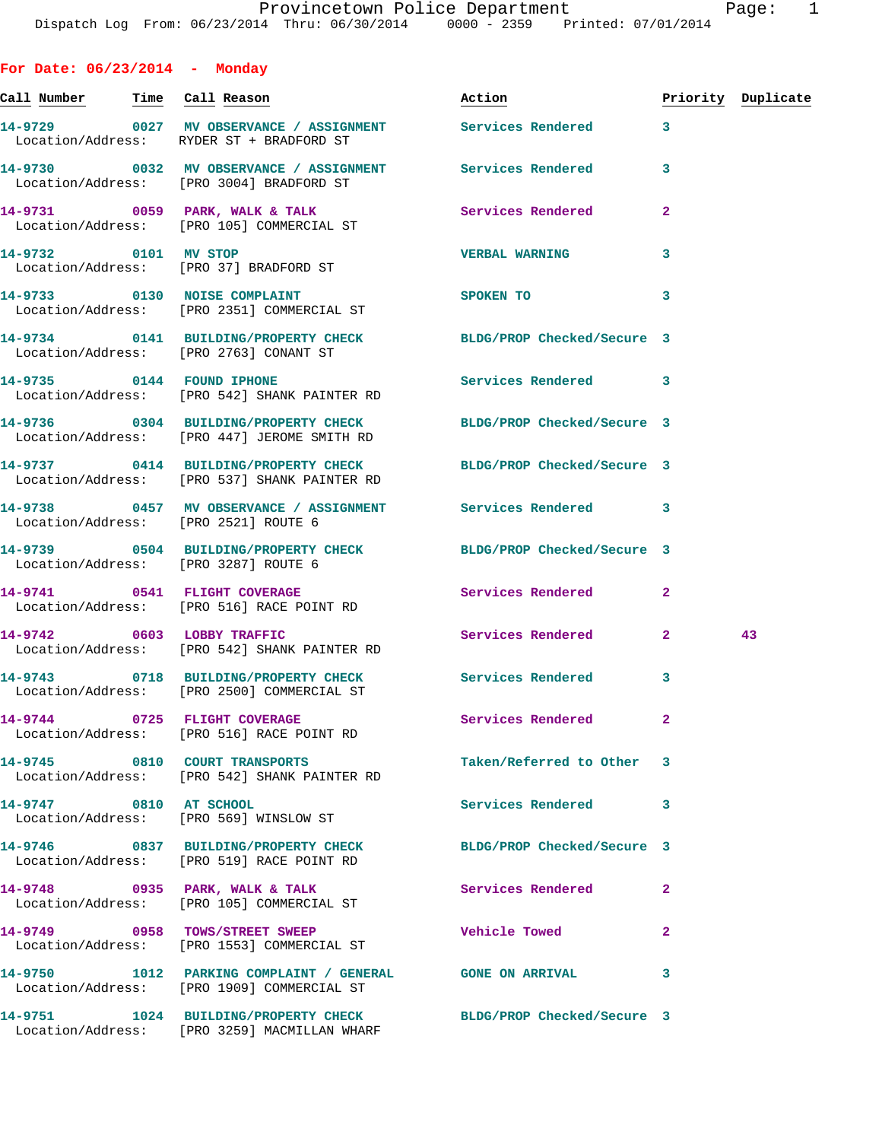**For Date: 06/23/2014 - Monday Call Number Time Call Reason Action Priority Duplicate 14-9729 0027 MV OBSERVANCE / ASSIGNMENT Services Rendered 3**  Location/Address: RYDER ST + BRADFORD ST **14-9730 0032 MV OBSERVANCE / ASSIGNMENT Services Rendered 3**  Location/Address: [PRO 3004] BRADFORD ST **14-9731 0059 PARK, WALK & TALK Services Rendered 2**  Location/Address: [PRO 105] COMMERCIAL ST **14-9732 0101 MV STOP VERBAL WARNING 3**  Location/Address: [PRO 37] BRADFORD ST **14-9733 0130 NOISE COMPLAINT SPOKEN TO 3**  Location/Address: [PRO 2351] COMMERCIAL ST **14-9734 0141 BUILDING/PROPERTY CHECK BLDG/PROP Checked/Secure 3**  Location/Address: [PRO 2763] CONANT ST **14-9735 0144 FOUND IPHONE Services Rendered 3**  Location/Address: [PRO 542] SHANK PAINTER RD **14-9736 0304 BUILDING/PROPERTY CHECK BLDG/PROP Checked/Secure 3**  Location/Address: [PRO 447] JEROME SMITH RD **14-9737 0414 BUILDING/PROPERTY CHECK BLDG/PROP Checked/Secure 3**  Location/Address: [PRO 537] SHANK PAINTER RD **14-9738 0457 MV OBSERVANCE / ASSIGNMENT Services Rendered 3**  Location/Address: [PRO 2521] ROUTE 6 **14-9739 0504 BUILDING/PROPERTY CHECK BLDG/PROP Checked/Secure 3**  Location/Address: [PRO 3287] ROUTE 6 **14-9741 0541 FLIGHT COVERAGE Services Rendered 2**  Location/Address: [PRO 516] RACE POINT RD **14-9742 0603 LOBBY TRAFFIC Services Rendered 2 43**  Location/Address: [PRO 542] SHANK PAINTER RD **14-9743 0718 BUILDING/PROPERTY CHECK Services Rendered 3**  Location/Address: [PRO 2500] COMMERCIAL ST **14-9744 0725 FLIGHT COVERAGE Services Rendered 2**  Location/Address: [PRO 516] RACE POINT RD **14-9745 0810 COURT TRANSPORTS Taken/Referred to Other 3**  Location/Address: [PRO 542] SHANK PAINTER RD **14-9747 0810 AT SCHOOL Services Rendered 3**  Location/Address: [PRO 569] WINSLOW ST **14-9746 0837 BUILDING/PROPERTY CHECK BLDG/PROP Checked/Secure 3**  Location/Address: [PRO 519] RACE POINT RD **14-9748 0935 PARK, WALK & TALK Services Rendered 2**  Location/Address: [PRO 105] COMMERCIAL ST **14-9749 0958 TOWS/STREET SWEEP Vehicle Towed 2**  Location/Address: [PRO 1553] COMMERCIAL ST **14-9750 1012 PARKING COMPLAINT / GENERAL GONE ON ARRIVAL 3**  Location/Address: [PRO 1909] COMMERCIAL ST

**14-9751 1024 BUILDING/PROPERTY CHECK BLDG/PROP Checked/Secure 3**  Location/Address: [PRO 3259] MACMILLAN WHARF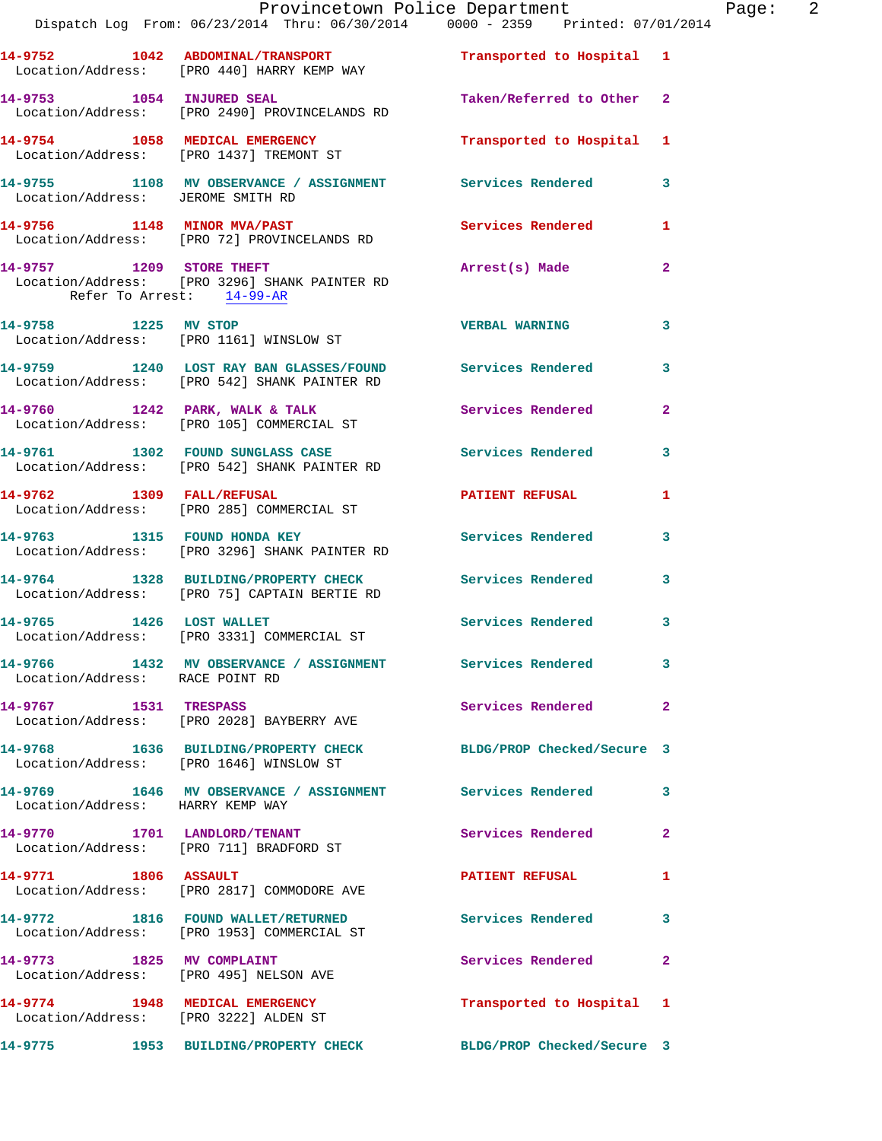|                                   | Provincetown Police Department<br>Dispatch Log From: 06/23/2014 Thru: 06/30/2014 0000 - 2359 Printed: 07/01/2014                   |                            |              | Page: 2 |  |
|-----------------------------------|------------------------------------------------------------------------------------------------------------------------------------|----------------------------|--------------|---------|--|
|                                   | 14-9752 1042 ABDOMINAL/TRANSPORT Transported to Hospital 1<br>Location/Address: [PRO 440] HARRY KEMP WAY                           |                            |              |         |  |
|                                   | 14-9753 1054 INJURED SEAL<br>Location/Address: [PRO 2490] PROVINCELANDS RD                                                         | Taken/Referred to Other 2  |              |         |  |
|                                   | 14-9754 1058 MEDICAL EMERGENCY<br>Location/Address: [PRO 1437] TREMONT ST                                                          | Transported to Hospital 1  |              |         |  |
| Location/Address: JEROME SMITH RD | 14-9755 1108 MV OBSERVANCE / ASSIGNMENT Services Rendered 3                                                                        |                            |              |         |  |
|                                   | 14-9756 1148 MINOR MVA/PAST<br>Location/Address: [PRO 72] PROVINCELANDS RD                                                         | Services Rendered 1        |              |         |  |
| Refer To Arrest: 14-99-AR         | 14-9757 1209 STORE THEFT<br>Location/Address: [PRO 3296] SHANK PAINTER RD                                                          | Arrest(s) Made             | $\mathbf{2}$ |         |  |
|                                   | 14-9758 1225 MV STOP<br>Location/Address: [PRO 1161] WINSLOW ST                                                                    | VERBAL WARNING 3           |              |         |  |
|                                   | 14-9759 1240 LOST RAY BAN GLASSES/FOUND Services Rendered 3<br>Location/Address: [PRO 542] SHANK PAINTER RD                        |                            |              |         |  |
|                                   | 14-9760 1242 PARK, WALK & TALK 1988 Services Rendered 2<br>Location/Address: [PRO 105] COMMERCIAL ST                               |                            |              |         |  |
|                                   | 14-9761 1302 FOUND SUNGLASS CASE                   Services Rendered         3<br>Location/Address:     [PRO 542] SHANK PAINTER RD |                            |              |         |  |
|                                   | 14-9762 1309 FALL/REFUSAL<br>Location/Address: [PRO 285] COMMERCIAL ST                                                             | PATIENT REFUSAL            | $\mathbf{1}$ |         |  |
|                                   | 14-9763 1315 FOUND HONDA KEY<br>Location/Address: [PRO 3296] SHANK PAINTER RD                                                      | Services Rendered 3        |              |         |  |
|                                   | 14-9764 1328 BUILDING/PROPERTY CHECK Services Rendered 3<br>Location/Address: [PRO 75] CAPTAIN BERTIE RD                           |                            |              |         |  |
|                                   | 14-9765 1426 LOST WALLET<br>Location/Address: [PRO 3331] COMMERCIAL ST                                                             | Services Rendered 3        |              |         |  |
| Location/Address: RACE POINT RD   | 14-9766 1432 MV OBSERVANCE / ASSIGNMENT Services Rendered 3                                                                        |                            |              |         |  |
|                                   | 14-9767 1531 TRESPASS<br>Location/Address: [PRO 2028] BAYBERRY AVE                                                                 | Services Rendered 2        |              |         |  |
|                                   | 14-9768 1636 BUILDING/PROPERTY CHECK BLDG/PROP Checked/Secure 3<br>Location/Address: [PRO 1646] WINSLOW ST                         |                            |              |         |  |
| Location/Address: HARRY KEMP WAY  | 14-9769 1646 MV OBSERVANCE / ASSIGNMENT Services Rendered 3                                                                        |                            |              |         |  |
|                                   | 14-9770 1701 LANDLORD/TENANT<br>Location/Address: [PRO 711] BRADFORD ST                                                            | <b>Services Rendered</b> 2 |              |         |  |
|                                   | 14-9771 1806 ASSAULT<br>Location/Address: [PRO 2817] COMMODORE AVE                                                                 | PATIENT REFUSAL            | 1            |         |  |
|                                   | 14-9772 1816 FOUND WALLET/RETURNED Services Rendered<br>Location/Address: [PRO 1953] COMMERCIAL ST                                 |                            | 3            |         |  |
|                                   | 14-9773 1825 MV COMPLAINT<br>Location/Address: [PRO 495] NELSON AVE                                                                | Services Rendered          | $\mathbf{2}$ |         |  |
|                                   | 14-9774 1948 MEDICAL EMERGENCY<br>Location/Address: [PRO 3222] ALDEN ST                                                            | Transported to Hospital 1  |              |         |  |
|                                   | 14-9775 1953 BUILDING/PROPERTY CHECK BLDG/PROP Checked/Secure 3                                                                    |                            |              |         |  |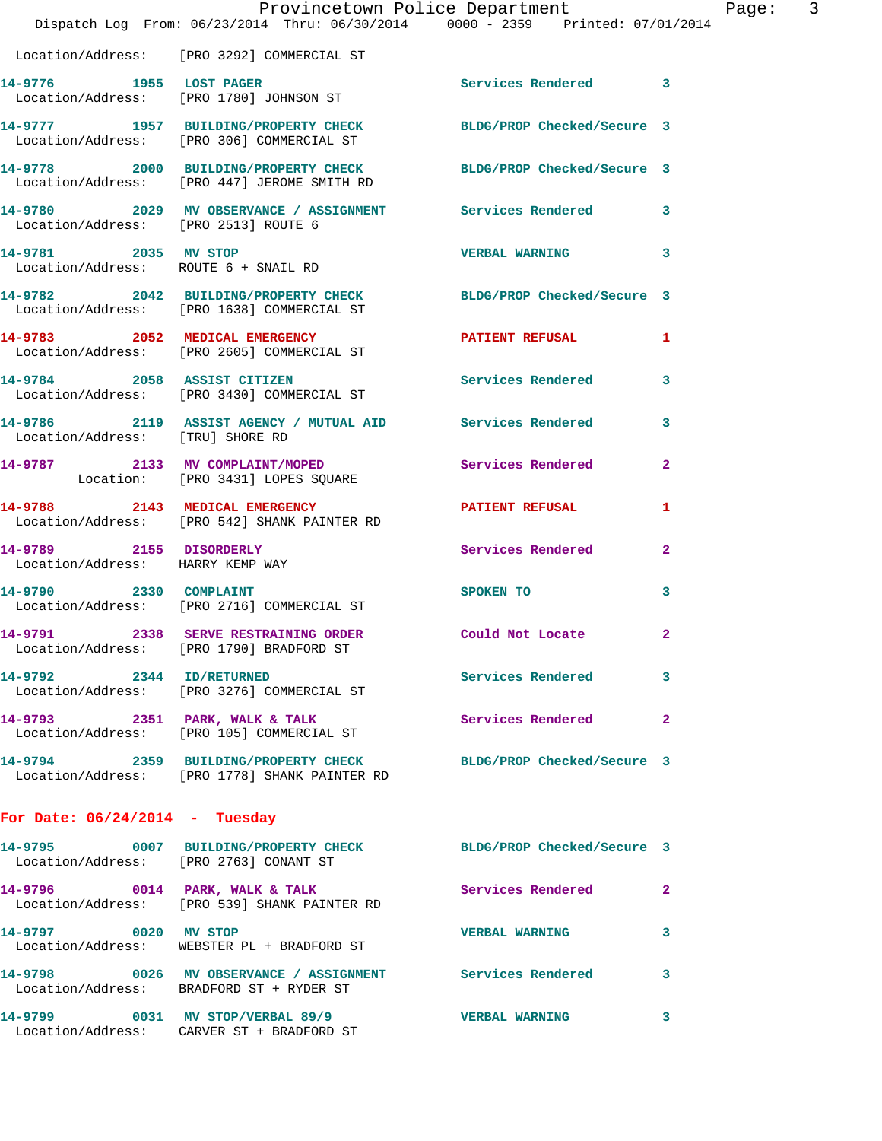|                                                             | Provincetown Police Department<br>Dispatch Log From: 06/23/2014 Thru: 06/30/2014 0000 - 2359 Printed: 07/01/2014 |                            |                |
|-------------------------------------------------------------|------------------------------------------------------------------------------------------------------------------|----------------------------|----------------|
|                                                             | Location/Address: [PRO 3292] COMMERCIAL ST                                                                       |                            |                |
| 14-9776 1955 LOST PAGER                                     | Location/Address: [PRO 1780] JOHNSON ST                                                                          | <b>Services Rendered</b>   | 3              |
|                                                             | 14-9777 1957 BUILDING/PROPERTY CHECK<br>Location/Address: [PRO 306] COMMERCIAL ST                                | BLDG/PROP Checked/Secure 3 |                |
|                                                             | 14-9778 2000 BUILDING/PROPERTY CHECK<br>Location/Address: [PRO 447] JEROME SMITH RD                              | BLDG/PROP Checked/Secure 3 |                |
| Location/Address: [PRO 2513] ROUTE 6                        | 14-9780 2029 MV OBSERVANCE / ASSIGNMENT Services Rendered                                                        |                            | 3              |
| 14-9781 2035 MV STOP                                        | Location/Address: ROUTE 6 + SNAIL RD                                                                             | <b>VERBAL WARNING</b>      | 3              |
|                                                             | 14-9782 2042 BUILDING/PROPERTY CHECK<br>Location/Address: [PRO 1638] COMMERCIAL ST                               | BLDG/PROP Checked/Secure 3 |                |
|                                                             | 14-9783 2052 MEDICAL EMERGENCY<br>Location/Address: [PRO 2605] COMMERCIAL ST                                     | <b>PATIENT REFUSAL</b>     | 1              |
|                                                             | 14-9784 2058 ASSIST CITIZEN<br>Location/Address: [PRO 3430] COMMERCIAL ST                                        | Services Rendered          | 3              |
| Location/Address: [TRU] SHORE RD                            | 14-9786 2119 ASSIST AGENCY / MUTUAL AID Services Rendered                                                        |                            | 3              |
|                                                             | 14-9787 2133 MV COMPLAINT/MOPED<br>Location: [PRO 3431] LOPES SQUARE                                             | Services Rendered          | $\overline{2}$ |
|                                                             | 14-9788 2143 MEDICAL EMERGENCY<br>Location/Address: [PRO 542] SHANK PAINTER RD                                   | <b>PATIENT REFUSAL</b>     | 1              |
| 14-9789 2155 DISORDERLY<br>Location/Address: HARRY KEMP WAY |                                                                                                                  | Services Rendered          | $\overline{a}$ |
| 14-9790 2330 COMPLAINT                                      | Location/Address: [PRO 2716] COMMERCIAL ST                                                                       | <b>SPOKEN TO</b>           | 3              |
|                                                             | 14-9791 2338 SERVE RESTRAINING ORDER<br>Location/Address: [PRO 1790] BRADFORD ST                                 | Could Not Locate           | $\mathbf{2}$   |
| 14-9792 2344 ID/RETURNED                                    | Location/Address: [PRO 3276] COMMERCIAL ST                                                                       | Services Rendered          | 3              |
|                                                             | 14-9793 2351 PARK, WALK & TALK<br>Location/Address: [PRO 105] COMMERCIAL ST                                      | Services Rendered          | $\mathbf{2}$   |
|                                                             | 14-9794 2359 BUILDING/PROPERTY CHECK<br>Location/Address: [PRO 1778] SHANK PAINTER RD                            | BLDG/PROP Checked/Secure 3 |                |
| For Date: $06/24/2014$ - Tuesday                            |                                                                                                                  |                            |                |
| Location/Address: [PRO 2763] CONANT ST                      | 14-9795 0007 BUILDING/PROPERTY CHECK                                                                             | BLDG/PROP Checked/Secure 3 |                |
|                                                             | 14-9796 0014 PARK, WALK & TALK<br>Location/Address: [PRO 539] SHANK PAINTER RD                                   | Services Rendered          | $\mathbf{2}$   |
| 14-9797 0020 MV STOP                                        | Location/Address: WEBSTER PL + BRADFORD ST                                                                       | <b>VERBAL WARNING</b>      | 3              |
|                                                             | 14-9798 0026 MV OBSERVANCE / ASSIGNMENT Services Rendered<br>Location/Address: BRADFORD ST + RYDER ST            |                            | 3              |
|                                                             | 14-9799 0031 MV STOP/VERBAL 89/9<br>Location/Address: CARVER ST + BRADFORD ST                                    | <b>VERBAL WARNING</b>      | 3              |

Page: 3<br><sup>14</sup>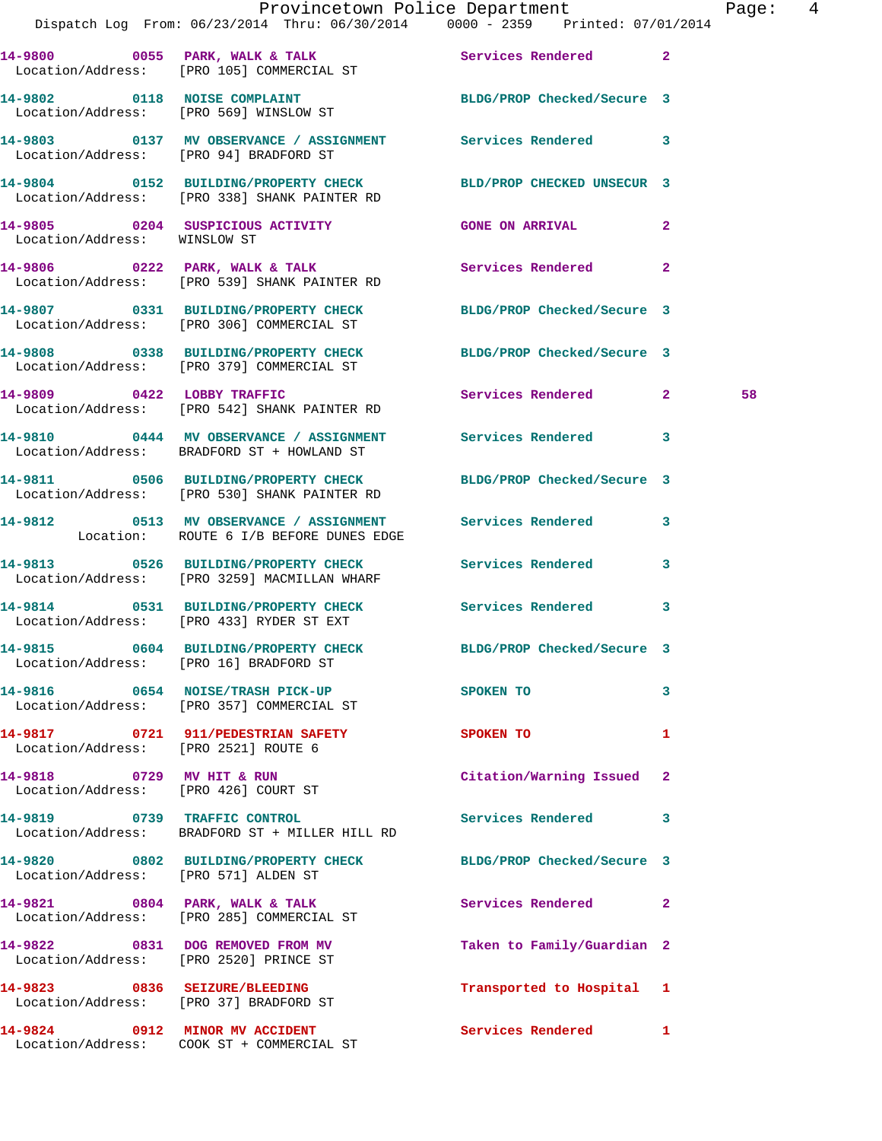|                                                                   | Dispatch Log From: 06/23/2014 Thru: 06/30/2014 0000 - 2359 Printed: 07/01/2014                                  | Provincetown Police Department | Page: 4 |
|-------------------------------------------------------------------|-----------------------------------------------------------------------------------------------------------------|--------------------------------|---------|
|                                                                   | 14-9800 0055 PARK, WALK & TALK (2008) Services Rendered 2<br>Location/Address: [PRO 105] COMMERCIAL ST          |                                |         |
|                                                                   | 14-9802 0118 NOISE COMPLAINT BLDG/PROP Checked/Secure 3<br>Location/Address: [PRO 569] WINSLOW ST               |                                |         |
|                                                                   | 14-9803 0137 MV OBSERVANCE / ASSIGNMENT Services Rendered 3<br>Location/Address: [PRO 94] BRADFORD ST           |                                |         |
|                                                                   | 14-9804 0152 BUILDING/PROPERTY CHECK BLD/PROP CHECKED UNSECUR 3<br>Location/Address: [PRO 338] SHANK PAINTER RD |                                |         |
| Location/Address: WINSLOW ST                                      | 14-9805 0204 SUSPICIOUS ACTIVITY CONE ON ARRIVAL 2                                                              |                                |         |
|                                                                   | 14-9806 0222 PARK, WALK & TALK 6 Services Rendered 2<br>Location/Address: [PRO 539] SHANK PAINTER RD            |                                |         |
|                                                                   | 14-9807 0331 BUILDING/PROPERTY CHECK BLDG/PROP Checked/Secure 3<br>Location/Address: [PRO 306] COMMERCIAL ST    |                                |         |
|                                                                   | 14-9808 0338 BUILDING/PROPERTY CHECK BLDG/PROP Checked/Secure 3<br>Location/Address: [PRO 379] COMMERCIAL ST    |                                |         |
|                                                                   | 14-9809 0422 LOBBY TRAFFIC<br>Location/Address: [PRO 542] SHANK PAINTER RD                                      | Services Rendered 2            | 58      |
|                                                                   | 14-9810 0444 MV OBSERVANCE / ASSIGNMENT Services Rendered 3<br>Location/Address: BRADFORD ST + HOWLAND ST       |                                |         |
|                                                                   | 14-9811 0506 BUILDING/PROPERTY CHECK BLDG/PROP Checked/Secure 3<br>Location/Address: [PRO 530] SHANK PAINTER RD |                                |         |
|                                                                   | 14-9812 0513 MV OBSERVANCE / ASSIGNMENT Services Rendered 3<br>Location: ROUTE 6 I/B BEFORE DUNES EDGE          |                                |         |
|                                                                   | 14-9813 0526 BUILDING/PROPERTY CHECK Services Rendered 3<br>Location/Address: [PRO 3259] MACMILLAN WHARF        |                                |         |
|                                                                   | 14-9814 0531 BUILDING/PROPERTY CHECK Services Rendered 3<br>Location/Address: [PRO 433] RYDER ST EXT            |                                |         |
| Location/Address: [PRO 16] BRADFORD ST                            | 14-9815 0604 BUILDING/PROPERTY CHECK BLDG/PROP Checked/Secure 3                                                 |                                |         |
|                                                                   | 14-9816 0654 NOISE/TRASH PICK-UP<br>Location/Address: [PRO 357] COMMERCIAL ST                                   | SPOKEN TO<br>3                 |         |
| Location/Address: [PRO 2521] ROUTE 6                              | 14-9817 0721 911/PEDESTRIAN SAFETY                                                                              | SPOKEN TO<br>1                 |         |
| 14-9818 0729 MV HIT & RUN<br>Location/Address: [PRO 426] COURT ST |                                                                                                                 | Citation/Warning Issued 2      |         |
| 14-9819 0739 TRAFFIC CONTROL                                      | Location/Address: BRADFORD ST + MILLER HILL RD                                                                  | Services Rendered 3            |         |
| Location/Address: [PRO 571] ALDEN ST                              | 14-9820 0802 BUILDING/PROPERTY CHECK BLDG/PROP Checked/Secure 3                                                 |                                |         |
|                                                                   | 14-9821 0804 PARK, WALK & TALK<br>Location/Address: [PRO 285] COMMERCIAL ST                                     | Services Rendered 2            |         |
| Location/Address: [PRO 2520] PRINCE ST                            | 14-9822 0831 DOG REMOVED FROM MV                                                                                | Taken to Family/Guardian 2     |         |
|                                                                   | 14-9823 0836 SEIZURE/BLEEDING<br>Location/Address: [PRO 37] BRADFORD ST                                         | Transported to Hospital 1      |         |
|                                                                   | 14-9824 0912 MINOR MV ACCIDENT                                                                                  | Services Rendered 1            |         |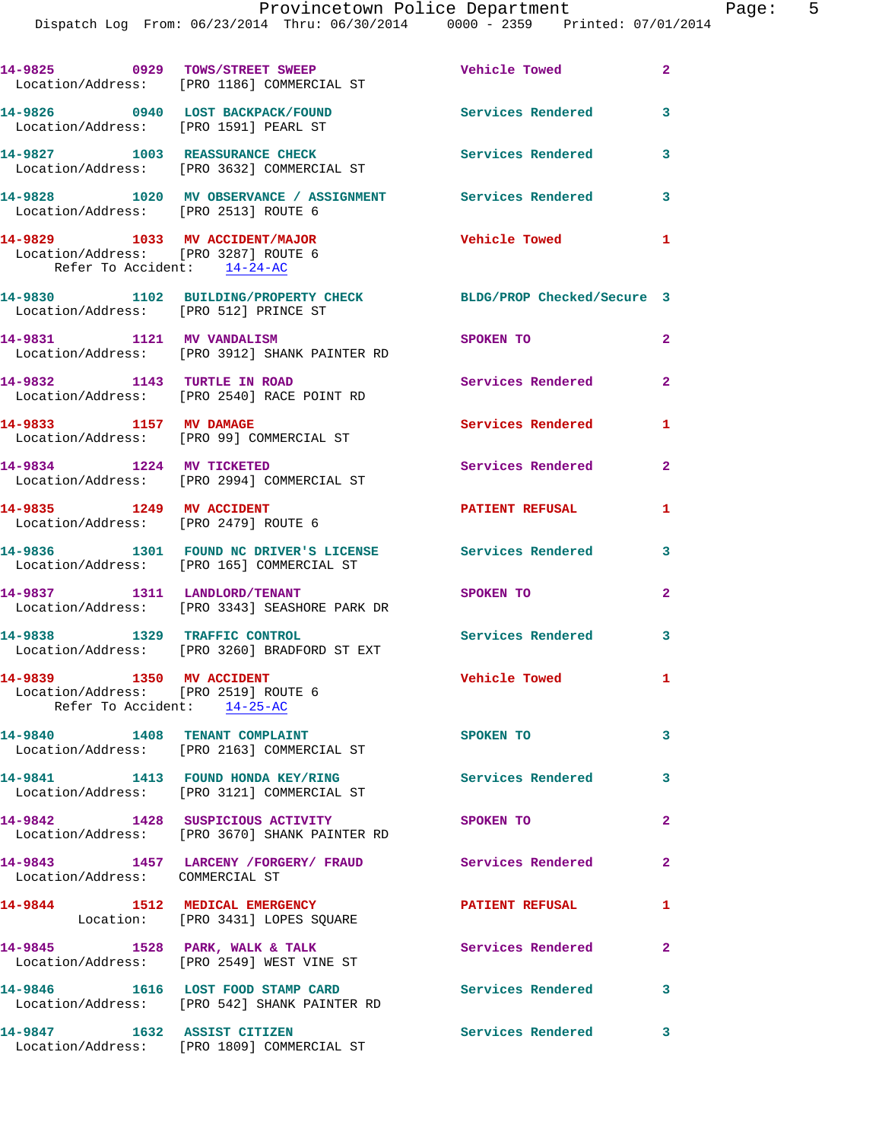Dispatch Log From: 06/23/2014 Thru: 06/30/2014 0000 - 2359 Printed: 07/01/2014

|                                                                                                       | 14-9825 0929 TOWS/STREET SWEEP<br>Location/Address: [PRO 1186] COMMERCIAL ST        | Vehicle Towed              | $\mathbf{2}$   |
|-------------------------------------------------------------------------------------------------------|-------------------------------------------------------------------------------------|----------------------------|----------------|
| 14-9826 0940 LOST BACKPACK/FOUND<br>Location/Address: [PRO 1591] PEARL ST                             |                                                                                     | <b>Services Rendered</b>   | 3              |
|                                                                                                       | 14-9827 1003 REASSURANCE CHECK<br>Location/Address: [PRO 3632] COMMERCIAL ST        | Services Rendered          | 3              |
| Location/Address: [PRO 2513] ROUTE 6                                                                  | 14-9828 1020 MV OBSERVANCE / ASSIGNMENT Services Rendered                           |                            | 3              |
| 14-9829 1033 MV ACCIDENT/MAJOR<br>Location/Address: [PRO 3287] ROUTE 6<br>Refer To Accident: 14-24-AC |                                                                                     | <b>Vehicle Towed</b>       | $\mathbf{1}$   |
| Location/Address: [PRO 512] PRINCE ST                                                                 | 14-9830 1102 BUILDING/PROPERTY CHECK                                                | BLDG/PROP Checked/Secure 3 |                |
| 14-9831 1121 MV VANDALISM                                                                             | Location/Address: [PRO 3912] SHANK PAINTER RD                                       | SPOKEN TO                  | $\overline{2}$ |
| 14-9832 1143 TURTLE IN ROAD                                                                           | Location/Address: [PRO 2540] RACE POINT RD                                          | Services Rendered          | $\overline{a}$ |
| 14-9833 1157 MV DAMAGE                                                                                | Location/Address: [PRO 99] COMMERCIAL ST                                            | Services Rendered          | 1              |
| 14-9834 1224 MV TICKETED                                                                              | Location/Address: [PRO 2994] COMMERCIAL ST                                          | Services Rendered          | $\overline{2}$ |
| 14-9835 1249 MV ACCIDENT<br>Location/Address: [PRO 2479] ROUTE 6                                      |                                                                                     | <b>PATIENT REFUSAL</b>     | 1              |
|                                                                                                       | 14-9836 1301 FOUND NC DRIVER'S LICENSE<br>Location/Address: [PRO 165] COMMERCIAL ST | Services Rendered          | 3              |
|                                                                                                       | 14-9837 1311 LANDLORD/TENANT<br>Location/Address: [PRO 3343] SEASHORE PARK DR       | SPOKEN TO                  | $\mathbf{2}$   |
| 14-9838                                                                                               | 1329 TRAFFIC CONTROL<br>Location/Address: [PRO 3260] BRADFORD ST EXT                | Services Rendered          | 3              |
| 14-9839 1350 MV ACCIDENT<br>Location/Address: [PRO 2519] ROUTE 6<br>Refer To Accident: 14-25-AC       |                                                                                     | Vehicle Towed              | 1              |
| 14-9840 1408 TENANT COMPLAINT                                                                         | Location/Address: [PRO 2163] COMMERCIAL ST                                          | <b>SPOKEN TO</b>           | 3              |
|                                                                                                       | 14-9841 1413 FOUND HONDA KEY/RING<br>Location/Address: [PRO 3121] COMMERCIAL ST     | <b>Services Rendered</b>   | 3              |
|                                                                                                       | 14-9842 1428 SUSPICIOUS ACTIVITY<br>Location/Address: [PRO 3670] SHANK PAINTER RD   | SPOKEN TO                  | $\overline{2}$ |
| Location/Address: COMMERCIAL ST                                                                       | 14-9843 1457 LARCENY / FORGERY / FRAUD Services Rendered                            |                            | $\mathbf{2}$   |
| 14-9844                                                                                               | 1512 MEDICAL EMERGENCY<br>Location: [PRO 3431] LOPES SQUARE                         | <b>PATIENT REFUSAL</b>     | $\mathbf{1}$   |
|                                                                                                       | 14-9845 1528 PARK, WALK & TALK<br>Location/Address: [PRO 2549] WEST VINE ST         | <b>Services Rendered</b>   | $\mathbf{2}$   |
|                                                                                                       | 14-9846 1616 LOST FOOD STAMP CARD<br>Location/Address: [PRO 542] SHANK PAINTER RD   | <b>Services Rendered</b>   | 3              |
| 14-9847 1632 ASSIST CITIZEN                                                                           | Location/Address: [PRO 1809] COMMERCIAL ST                                          | Services Rendered          | $\mathbf{3}$   |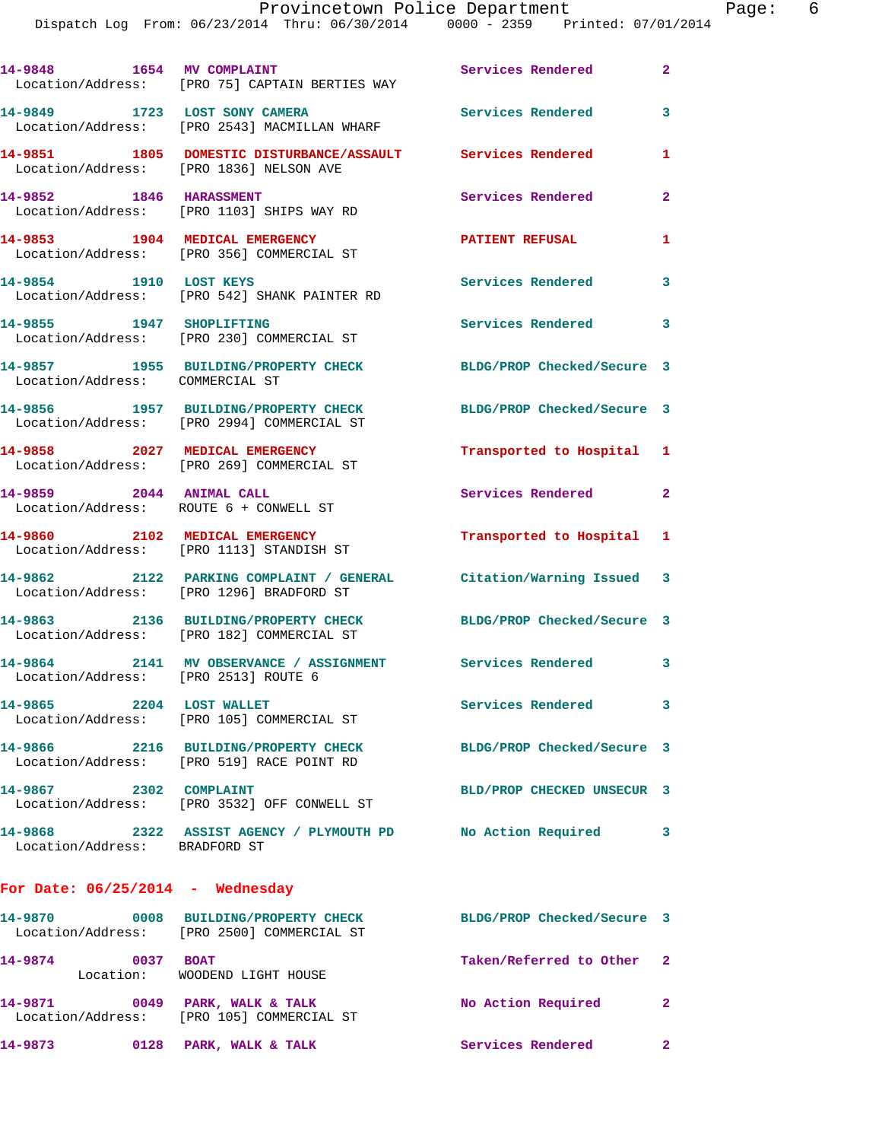| 14-9848 1654 MV COMPLAINT               | Location/Address: [PRO 75] CAPTAIN BERTIES WAY                                                                 | Services Rendered          | $\mathbf{2}$ |
|-----------------------------------------|----------------------------------------------------------------------------------------------------------------|----------------------------|--------------|
|                                         | 14-9849 1723 LOST SONY CAMERA<br>Location/Address: [PRO 2543] MACMILLAN WHARF                                  | Services Rendered          | 3            |
| Location/Address: [PRO 1836] NELSON AVE | 14-9851 1805 DOMESTIC DISTURBANCE/ASSAULT Services Rendered                                                    |                            | 1            |
| 14-9852 1846 HARASSMENT                 | Location/Address: [PRO 1103] SHIPS WAY RD                                                                      | Services Rendered          | $\mathbf{2}$ |
|                                         | 14-9853 1904 MEDICAL EMERGENCY<br>Location/Address: [PRO 356] COMMERCIAL ST                                    | <b>PATIENT REFUSAL</b>     | 1            |
|                                         | 14-9854 1910 LOST KEYS<br>Location/Address: [PRO 542] SHANK PAINTER RD                                         | <b>Services Rendered</b>   | 3            |
| 14-9855 1947 SHOPLIFTING                | Location/Address: [PRO 230] COMMERCIAL ST                                                                      | Services Rendered 3        |              |
| Location/Address: COMMERCIAL ST         | 14-9857 1955 BUILDING/PROPERTY CHECK                                                                           | BLDG/PROP Checked/Secure 3 |              |
|                                         | 14-9856 1957 BUILDING/PROPERTY CHECK<br>Location/Address: [PRO 2994] COMMERCIAL ST                             | BLDG/PROP Checked/Secure 3 |              |
|                                         | 14-9858 2027 MEDICAL EMERGENCY<br>Location/Address: [PRO 269] COMMERCIAL ST                                    | Transported to Hospital 1  |              |
| 14-9859 2044 ANIMAL CALL                | Location/Address: ROUTE 6 + CONWELL ST                                                                         | Services Rendered 2        |              |
|                                         | 14-9860 2102 MEDICAL EMERGENCY<br>Location/Address: [PRO 1113] STANDISH ST                                     | Transported to Hospital 1  |              |
|                                         | 14-9862 2122 PARKING COMPLAINT / GENERAL Citation/Warning Issued 3<br>Location/Address: [PRO 1296] BRADFORD ST |                            |              |
|                                         | 14-9863 2136 BUILDING/PROPERTY CHECK<br>Location/Address: [PRO 182] COMMERCIAL ST                              | BLDG/PROP Checked/Secure 3 |              |
| Location/Address: [PRO 2513] ROUTE 6    | 14-9864 2141 MV OBSERVANCE / ASSIGNMENT Services Rendered 3                                                    |                            |              |
| 14-9865 2204 LOST WALLET                | Location/Address: [PRO 105] COMMERCIAL ST                                                                      | Services Rendered          | 3            |
|                                         | 14-9866 2216 BUILDING/PROPERTY CHECK BLDG/PROP Checked/Secure 3<br>Location/Address: [PRO 519] RACE POINT RD   |                            |              |
| 14-9867 2302 COMPLAINT                  | Location/Address: [PRO 3532] OFF CONWELL ST                                                                    | BLD/PROP CHECKED UNSECUR 3 |              |
| Location/Address: BRADFORD ST           | 14-9868 2322 ASSIST AGENCY / PLYMOUTH PD No Action Required 3                                                  |                            |              |
| For Date: $06/25/2014$ - Wednesday      |                                                                                                                |                            |              |
|                                         | 14-9870 0008 BUILDING/PROPERTY CHECK BLDG/PROP Checked/Secure 3<br>Location/Address: [PRO 2500] COMMERCIAL ST  |                            |              |
| 14-9874<br>0037 BOAT                    | Location: WOODEND LIGHT HOUSE                                                                                  | Taken/Referred to Other 2  |              |
| 14-9871                                 | 0049 PARK, WALK & TALK<br>Location/Address: [PRO 105] COMMERCIAL ST                                            | No Action Required 2       |              |

**14-9873 0128 PARK, WALK & TALK Services Rendered 2**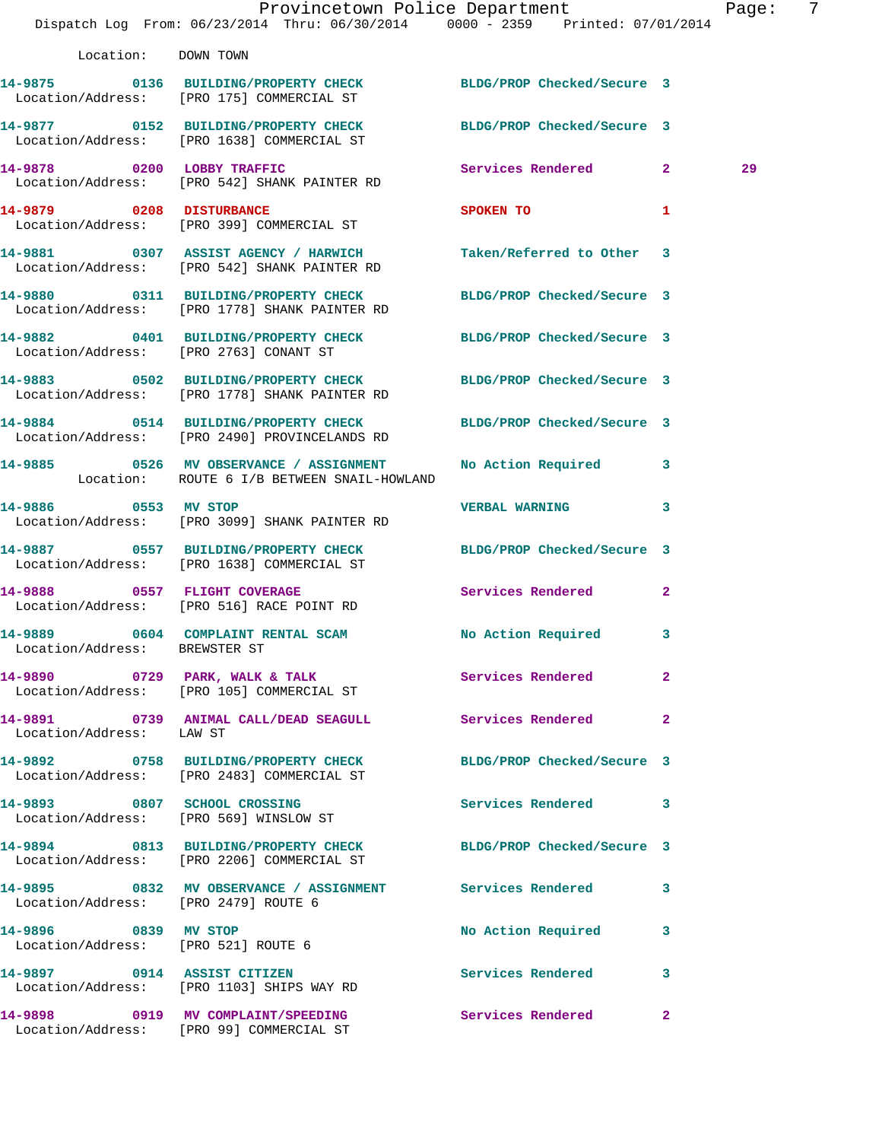|                                                             | Dispatch Log From: 06/23/2014 Thru: 06/30/2014 0000 - 2359 Printed: 07/01/2014                                   | Provincetown Police Department         |              | Page: | 7 |
|-------------------------------------------------------------|------------------------------------------------------------------------------------------------------------------|----------------------------------------|--------------|-------|---|
| Location: DOWN TOWN                                         |                                                                                                                  |                                        |              |       |   |
|                                                             | 14-9875 0136 BUILDING/PROPERTY CHECK BLDG/PROP Checked/Secure 3<br>Location/Address: [PRO 175] COMMERCIAL ST     |                                        |              |       |   |
|                                                             | 14-9877 0152 BUILDING/PROPERTY CHECK BLDG/PROP Checked/Secure 3<br>Location/Address: [PRO 1638] COMMERCIAL ST    |                                        |              |       |   |
|                                                             | 14-9878 0200 LOBBY TRAFFIC<br>Location/Address: [PRO 542] SHANK PAINTER RD                                       | Services Rendered 2                    |              | 29    |   |
|                                                             | 14-9879 0208 DISTURBANCE<br>Location/Address: [PRO 399] COMMERCIAL ST                                            | <b>SPOKEN TO</b><br>$\mathbf{1}$       |              |       |   |
|                                                             | 14-9881 0307 ASSIST AGENCY / HARWICH<br>Location/Address: [PRO 542] SHANK PAINTER RD                             | Taken/Referred to Other 3              |              |       |   |
|                                                             | 14-9880 0311 BUILDING/PROPERTY CHECK BLDG/PROP Checked/Secure 3<br>Location/Address: [PRO 1778] SHANK PAINTER RD |                                        |              |       |   |
|                                                             | 14-9882 0401 BUILDING/PROPERTY CHECK BLDG/PROP Checked/Secure 3<br>Location/Address: [PRO 2763] CONANT ST        |                                        |              |       |   |
|                                                             | 14-9883 0502 BUILDING/PROPERTY CHECK BLDG/PROP Checked/Secure 3<br>Location/Address: [PRO 1778] SHANK PAINTER RD |                                        |              |       |   |
|                                                             | 14-9884 0514 BUILDING/PROPERTY CHECK BLDG/PROP Checked/Secure 3<br>Location/Address: [PRO 2490] PROVINCELANDS RD |                                        |              |       |   |
|                                                             | 14-9885 0526 MV OBSERVANCE / ASSIGNMENT<br>Location: ROUTE 6 I/B BETWEEN SNAIL-HOWLAND                           | No Action Required 3                   |              |       |   |
|                                                             | 14-9886 0553 MV STOP<br>Location/Address: [PRO 3099] SHANK PAINTER RD                                            | VERBAL WARNING 3                       |              |       |   |
|                                                             | 14-9887 0557 BUILDING/PROPERTY CHECK BLDG/PROP Checked/Secure 3<br>Location/Address: [PRO 1638] COMMERCIAL ST    |                                        |              |       |   |
|                                                             | 14-9888 0557 FLIGHT COVERAGE<br>Location/Address: [PRO 516] RACE POINT RD                                        | Services Rendered 2                    |              |       |   |
| Location/Address: BREWSTER ST                               | 14-9889           0604 COMPLAINT RENTAL SCAM                 No Action Required         3                        |                                        |              |       |   |
|                                                             | 14-9890 0729 PARK, WALK & TALK 3 Services Rendered<br>Location/Address: [PRO 105] COMMERCIAL ST                  |                                        | $\mathbf{2}$ |       |   |
| Location/Address: LAW ST                                    | 14-9891 0739 ANIMAL CALL/DEAD SEAGULL Services Rendered 2                                                        |                                        |              |       |   |
|                                                             | 14-9892 0758 BUILDING/PROPERTY CHECK<br>Location/Address: [PRO 2483] COMMERCIAL ST                               | BLDG/PROP Checked/Secure 3             |              |       |   |
|                                                             | 14-9893 0807 SCHOOL CROSSING<br>Location/Address: [PRO 569] WINSLOW ST                                           | Services Rendered 3                    |              |       |   |
|                                                             | 14-9894 0813 BUILDING/PROPERTY CHECK BLDG/PROP Checked/Secure 3<br>Location/Address: [PRO 2206] COMMERCIAL ST    |                                        |              |       |   |
| Location/Address: [PRO 2479] ROUTE 6                        | 14-9895 0832 MV OBSERVANCE / ASSIGNMENT Services Rendered 3                                                      |                                        |              |       |   |
| 14-9896 0839 MV STOP<br>Location/Address: [PRO 521] ROUTE 6 |                                                                                                                  | No Action Required                     | 3            |       |   |
|                                                             | 14-9897 0914 ASSIST CITIZEN<br>Location/Address: [PRO 1103] SHIPS WAY RD                                         | Services Rendered                      | 3            |       |   |
|                                                             | 14-9898 0919 MV COMPLAINT/SPEEDING<br>Location/Address: [PRO 99] COMMERCIAL ST                                   | <b>Services Rendered 22 Services</b> 2 |              |       |   |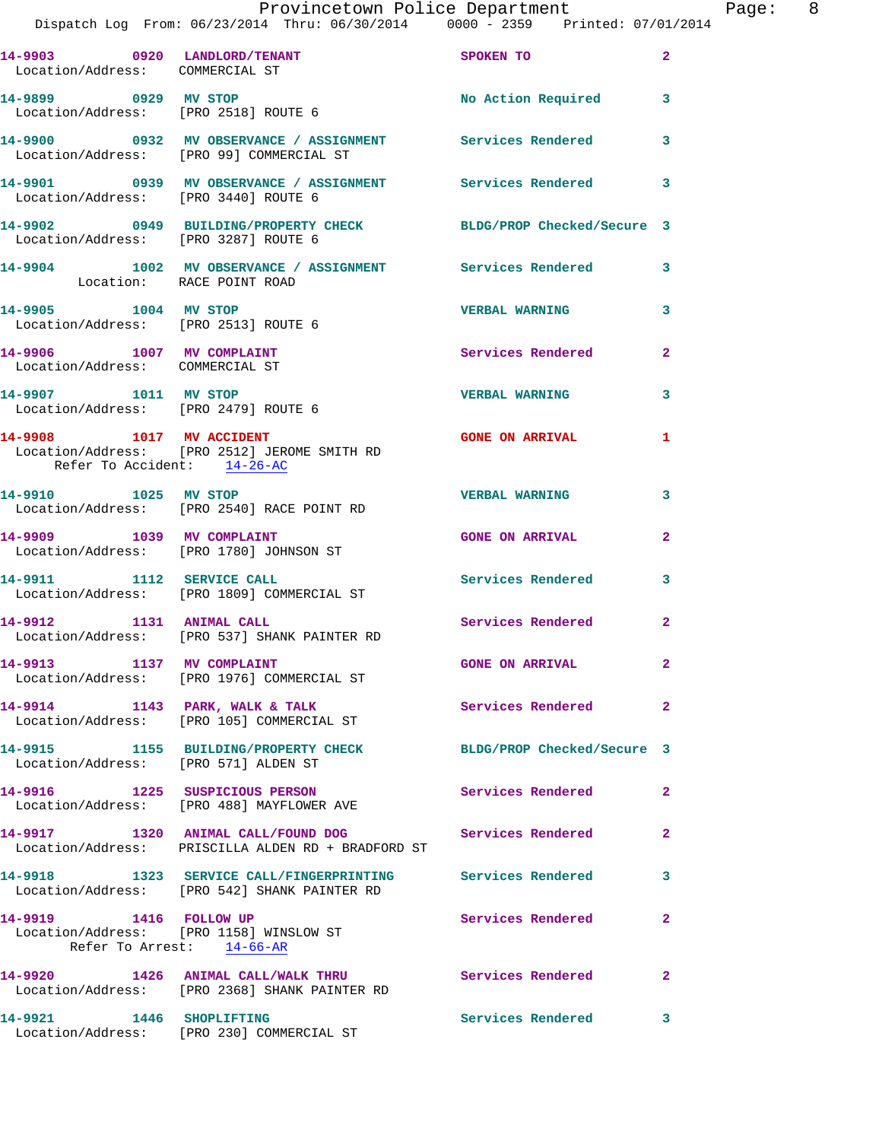|                                                              | Provincetown Police Department<br>Dispatch Log From: 06/23/2014 Thru: 06/30/2014 0000 - 2359 Printed: 07/01/2014     |                          | Page: 8        |
|--------------------------------------------------------------|----------------------------------------------------------------------------------------------------------------------|--------------------------|----------------|
| Location/Address: COMMERCIAL ST                              | 14-9903 0920 LANDLORD/TENANT SPOKEN TO                                                                               |                          | $\mathbf{2}$   |
|                                                              | 14-9899 0929 MV STOP<br>Location/Address: [PRO 2518] ROUTE 6                                                         | No Action Required 3     |                |
|                                                              | 14-9900 0932 MV OBSERVANCE / ASSIGNMENT Services Rendered 3<br>Location/Address: [PRO 99] COMMERCIAL ST              |                          |                |
|                                                              | 14-9901      0939 MV OBSERVANCE / ASSIGNMENT      Services Rendered      3<br>Location/Address:   [PRO 3440] ROUTE 6 |                          |                |
| Location/Address: [PRO 3287] ROUTE 6                         | 14-9902 0949 BUILDING/PROPERTY CHECK BLDG/PROP Checked/Secure 3                                                      |                          |                |
| Location: RACE POINT ROAD                                    | 14-9904 1002 MV OBSERVANCE / ASSIGNMENT Services Rendered 3                                                          |                          |                |
| 14-9905 1004 MV STOP<br>Location/Address: [PRO 2513] ROUTE 6 |                                                                                                                      | <b>VERBAL WARNING</b>    | 3              |
| 14-9906 1007 MV COMPLAINT<br>Location/Address: COMMERCIAL ST |                                                                                                                      | Services Rendered 2      |                |
| Location/Address: [PRO 2479] ROUTE 6                         | 14-9907 1011 MV STOP                                                                                                 | <b>VERBAL WARNING</b>    | $\mathbf{3}$   |
| Refer To Accident: 14-26-AC                                  | 14-9908 1017 MV ACCIDENT<br>Location/Address: [PRO 2512] JEROME SMITH RD                                             | GONE ON ARRIVAL 1        |                |
|                                                              | 14-9910 1025 MV STOP<br>Location/Address: [PRO 2540] RACE POINT RD                                                   | <b>VERBAL WARNING</b>    | 3              |
|                                                              | 14-9909 1039 MV COMPLAINT<br>Location/Address: [PRO 1780] JOHNSON ST                                                 | <b>GONE ON ARRIVAL</b>   | $\overline{2}$ |
|                                                              | 14-9911 1112 SERVICE CALL<br>Location/Address: [PRO 1809] COMMERCIAL ST                                              | Services Rendered 3      |                |
| 14-9912 1131 ANIMAL CALL                                     | Location/Address: [PRO 537] SHANK PAINTER RD                                                                         | Services Rendered 2      |                |
| 14-9913 1137 MV COMPLAINT                                    | Location/Address: [PRO 1976] COMMERCIAL ST                                                                           | <b>GONE ON ARRIVAL</b>   | $\mathbf{2}$   |
|                                                              | 14-9914 1143 PARK, WALK & TALK<br>Location/Address: [PRO 105] COMMERCIAL ST                                          | Services Rendered        | $\mathbf{2}$   |
| Location/Address: [PRO 571] ALDEN ST                         | 14-9915 1155 BUILDING/PROPERTY CHECK BLDG/PROP Checked/Secure 3                                                      |                          |                |
|                                                              | 14-9916 1225 SUSPICIOUS PERSON<br>Location/Address: [PRO 488] MAYFLOWER AVE                                          | <b>Services Rendered</b> | $\mathbf{2}$   |
|                                                              | 14-9917 1320 ANIMAL CALL/FOUND DOG Services Rendered<br>Location/Address: PRISCILLA ALDEN RD + BRADFORD ST           |                          | $\mathbf{2}$   |
|                                                              | 14-9918 1323 SERVICE CALL/FINGERPRINTING Services Rendered 3<br>Location/Address: [PRO 542] SHANK PAINTER RD         |                          |                |
|                                                              | 14-9919 1416 FOLLOW UP<br>Location/Address: [PRO 1158] WINSLOW ST<br>Refer To Arrest: 14-66-AR                       | Services Rendered        | $\mathbf{2}$   |
|                                                              |                                                                                                                      |                          |                |

**14-9920 1426 ANIMAL CALL/WALK THRU Services Rendered 2**  Location/Address: [PRO 2368] SHANK PAINTER RD **14-9921 1446 SHOPLIFTING Services Rendered 3**  Location/Address: [PRO 230] COMMERCIAL ST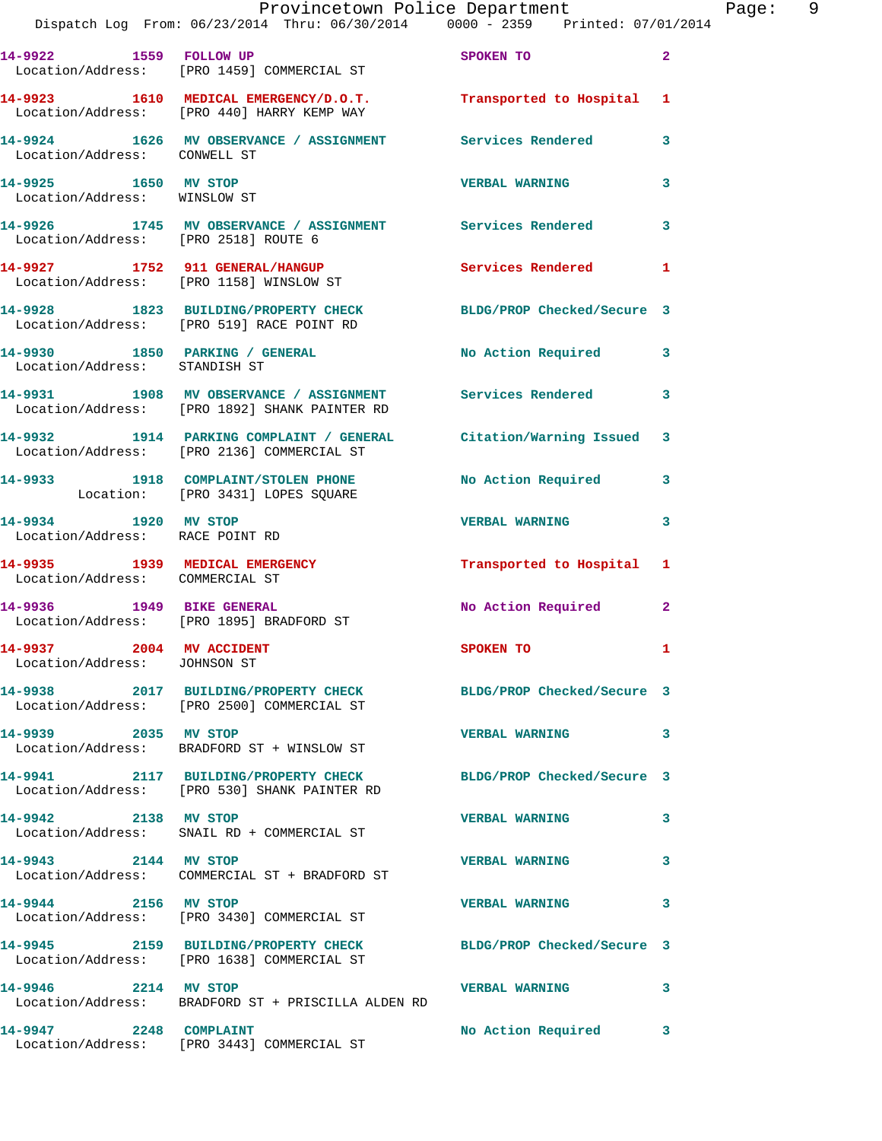|                                                          | Provincetown Police Department Page: 9<br>Dispatch Log From: 06/23/2014 Thru: 06/30/2014   0000 - 2359   Printed: 07/01/2014 |                         |                            |
|----------------------------------------------------------|------------------------------------------------------------------------------------------------------------------------------|-------------------------|----------------------------|
|                                                          | 14-9922 1559 FOLLOW UP SPOKEN TO<br>Location/Address: [PRO 1459] COMMERCIAL ST                                               |                         | $\overline{\phantom{0}}$ 2 |
|                                                          | 14-9923 1610 MEDICAL EMERGENCY/D.O.T. Transported to Hospital 1<br>Location/Address: [PRO 440] HARRY KEMP WAY                |                         |                            |
| Location/Address: CONWELL ST                             | 14-9924 1626 MV OBSERVANCE / ASSIGNMENT Services Rendered 3                                                                  |                         |                            |
| 14-9925 1650 MV STOP                                     | Location/Address: WINSLOW ST                                                                                                 | <b>VERBAL WARNING</b> 3 |                            |
| Location/Address: [PRO 2518] ROUTE 6                     | 14-9926 1745 MV OBSERVANCE / ASSIGNMENT Services Rendered 3                                                                  |                         |                            |
|                                                          | 14-9927 1752 911 GENERAL/HANGUP Services Rendered 1<br>Location/Address: [PRO 1158] WINSLOW ST                               |                         |                            |
|                                                          | 14-9928 1823 BUILDING/PROPERTY CHECK BLDG/PROP Checked/Secure 3<br>Location/Address: [PRO 519] RACE POINT RD                 |                         |                            |
| Location/Address: STANDISH ST                            | 14-9930 1850 PARKING / GENERAL No Action Required 3                                                                          |                         |                            |
|                                                          | 14-9931 1908 MV OBSERVANCE / ASSIGNMENT Services Rendered 3<br>Location/Address: [PRO 1892] SHANK PAINTER RD                 |                         |                            |
|                                                          | 14-9932 1914 PARKING COMPLAINT / GENERAL Citation/Warning Issued 3<br>Location/Address: [PRO 2136] COMMERCIAL ST             |                         |                            |
|                                                          | 14-9933 1918 COMPLAINT/STOLEN PHONE No Action Required 3<br>Location: [PRO 3431] LOPES SQUARE                                |                         |                            |
| 14-9934 1920 MV STOP<br>Location/Address: RACE POINT RD  |                                                                                                                              | <b>VERBAL WARNING</b>   | 3                          |
| Location/Address: COMMERCIAL ST                          | 14-9935 1939 MEDICAL EMERGENCY Transported to Hospital 1                                                                     |                         |                            |
|                                                          | 14-9936 1949 BIKE GENERAL<br>Location/Address: [PRO 1895] BRADFORD ST                                                        | No Action Required 2    |                            |
| 14-9937 2004 MV ACCIDENT<br>Location/Address: JOHNSON ST |                                                                                                                              | SPOKEN TO               | $\mathbf{1}$               |
|                                                          | 14-9938 2017 BUILDING/PROPERTY CHECK BLDG/PROP Checked/Secure 3<br>Location/Address: [PRO 2500] COMMERCIAL ST                |                         |                            |
| 14-9939 2035 MV STOP                                     | Location/Address: BRADFORD ST + WINSLOW ST                                                                                   | VERBAL WARNING 3        |                            |
|                                                          | 14-9941 2117 BUILDING/PROPERTY CHECK BLDG/PROP Checked/Secure 3<br>Location/Address: [PRO 530] SHANK PAINTER RD              |                         |                            |
| 14-9942 2138 MV STOP                                     | Location/Address: SNAIL RD + COMMERCIAL ST                                                                                   | <b>VERBAL WARNING</b>   | 3                          |
| 14-9943 2144 MV STOP                                     | Location/Address: COMMERCIAL ST + BRADFORD ST                                                                                | <b>VERBAL WARNING</b>   | 3                          |
| 14-9944 2156 MV STOP                                     | Location/Address: [PRO 3430] COMMERCIAL ST                                                                                   | <b>VERBAL WARNING</b>   | 3                          |
|                                                          | 14-9945 2159 BUILDING/PROPERTY CHECK BLDG/PROP Checked/Secure 3<br>Location/Address: [PRO 1638] COMMERCIAL ST                |                         |                            |
| 14-9946 2214 MV STOP                                     | Location/Address: BRADFORD ST + PRISCILLA ALDEN RD                                                                           | VERBAL WARNING 3        |                            |
| 14-9947 2248 COMPLAINT                                   |                                                                                                                              | No Action Required 3    |                            |

Location/Address: [PRO 3443] COMMERCIAL ST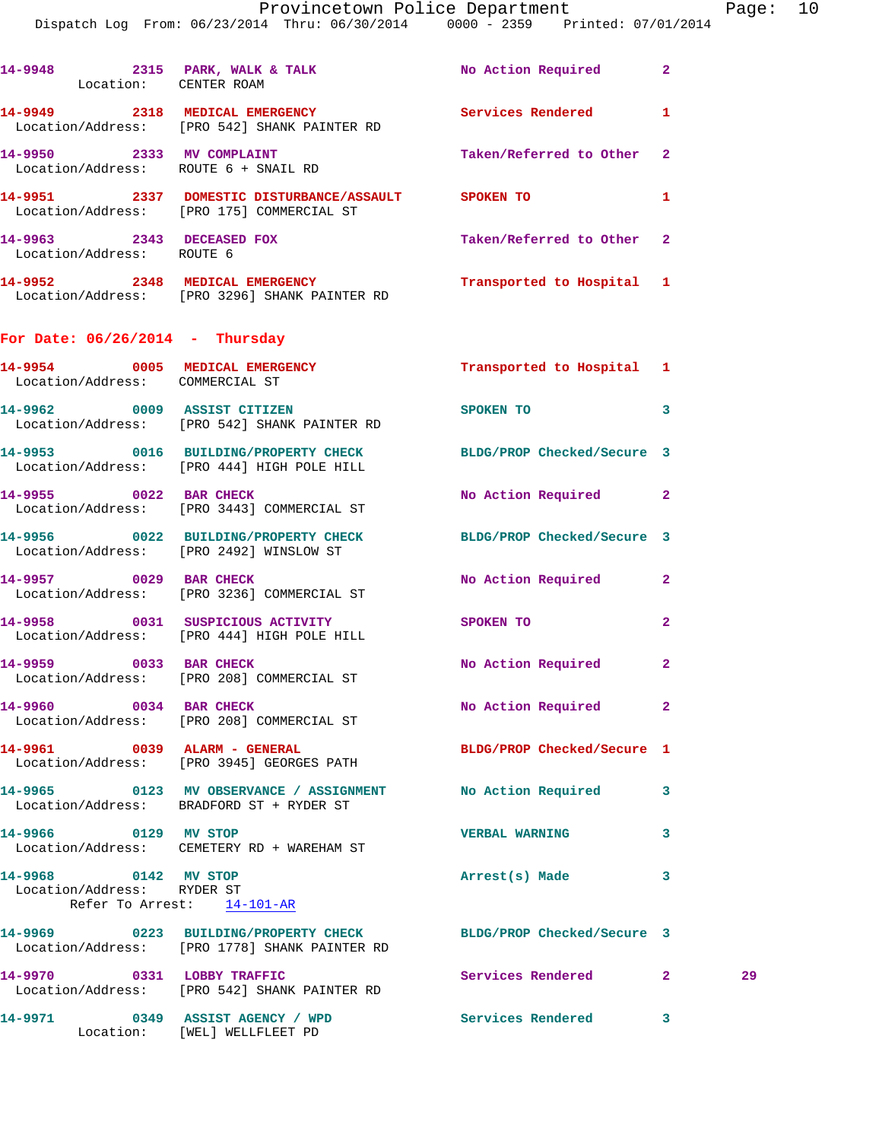Dispatch Log From: 06/23/2014 Thru: 06/30/2014 0000 - 2359 Printed: 07/01/2014

| Location: CENTER ROAM                                             | 14-9948 2315 PARK, WALK & TALK                                                                                   | No Action Required 2       |                    |
|-------------------------------------------------------------------|------------------------------------------------------------------------------------------------------------------|----------------------------|--------------------|
|                                                                   | 14-9949 2318 MEDICAL EMERGENCY Services Rendered 1<br>Location/Address: [PRO 542] SHANK PAINTER RD               |                            |                    |
| 14-9950 2333 MV COMPLAINT<br>Location/Address: ROUTE 6 + SNAIL RD |                                                                                                                  | Taken/Referred to Other    | 2                  |
|                                                                   | 14-9951 2337 DOMESTIC DISTURBANCE/ASSAULT SPOKEN TO<br>Location/Address: [PRO 175] COMMERCIAL ST                 |                            | 1                  |
| 14-9963 2343 DECEASED FOX<br>Location/Address: ROUTE 6            |                                                                                                                  | Taken/Referred to Other    | 2                  |
|                                                                   | 14-9952 2348 MEDICAL EMERGENCY<br>Location/Address: [PRO 3296] SHANK PAINTER RD                                  | Transported to Hospital 1  |                    |
| For Date: $06/26/2014$ - Thursday                                 |                                                                                                                  |                            |                    |
| Location/Address: COMMERCIAL ST                                   | 14-9954 0005 MEDICAL EMERGENCY                                                                                   | Transported to Hospital 1  |                    |
|                                                                   | 14-9962 0009 ASSIST CITIZEN<br>Location/Address: [PRO 542] SHANK PAINTER RD                                      | <b>SPOKEN TO</b>           | 3                  |
|                                                                   | 14-9953 0016 BUILDING/PROPERTY CHECK BLDG/PROP Checked/Secure 3<br>Location/Address: [PRO 444] HIGH POLE HILL    |                            |                    |
| 14-9955 0022 BAR CHECK                                            | Location/Address: [PRO 3443] COMMERCIAL ST                                                                       | No Action Required 2       |                    |
|                                                                   | 14-9956 0022 BUILDING/PROPERTY CHECK BLDG/PROP Checked/Secure 3<br>Location/Address: [PRO 2492] WINSLOW ST       |                            |                    |
| 14-9957 0029 BAR CHECK                                            | Location/Address: [PRO 3236] COMMERCIAL ST                                                                       | No Action Required 2       |                    |
|                                                                   | 14-9958 0031 SUSPICIOUS ACTIVITY SPOKEN TO<br>Location/Address: [PRO 444] HIGH POLE HILL                         |                            | $\mathbf{2}$       |
| 14-9959 0033 BAR CHECK                                            | Location/Address: [PRO 208] COMMERCIAL ST                                                                        | No Action Required         | $\mathbf{2}$       |
| 14-9960 0034 BAR CHECK                                            | Location/Address: [PRO 208] COMMERCIAL ST                                                                        | No Action Required         | 2                  |
| 14-9961 0039 ALARM - GENERAL                                      | Location/Address: [PRO 3945] GEORGES PATH                                                                        | BLDG/PROP Checked/Secure 1 |                    |
|                                                                   | 14-9965 0123 MV OBSERVANCE / ASSIGNMENT No Action Required<br>Location/Address: BRADFORD ST + RYDER ST           |                            | 3                  |
| 14-9966 0129 MV STOP                                              | Location/Address: CEMETERY RD + WAREHAM ST                                                                       | <b>VERBAL WARNING</b>      | 3                  |
| 14-9968 0142 MV STOP<br>Location/Address: RYDER ST                | Refer To Arrest: 14-101-AR                                                                                       | Arrest(s) Made             | 3                  |
|                                                                   | 14-9969 0223 BUILDING/PROPERTY CHECK BLDG/PROP Checked/Secure 3<br>Location/Address: [PRO 1778] SHANK PAINTER RD |                            |                    |
|                                                                   | 14-9970 0331 LOBBY TRAFFIC<br>Location/Address: [PRO 542] SHANK PAINTER RD                                       | Services Rendered          | 29<br>$\mathbf{2}$ |
| 14-9971 0349 ASSIST AGENCY / WPD                                  | Location: [WEL] WELLFLEET PD                                                                                     | Services Rendered 3        |                    |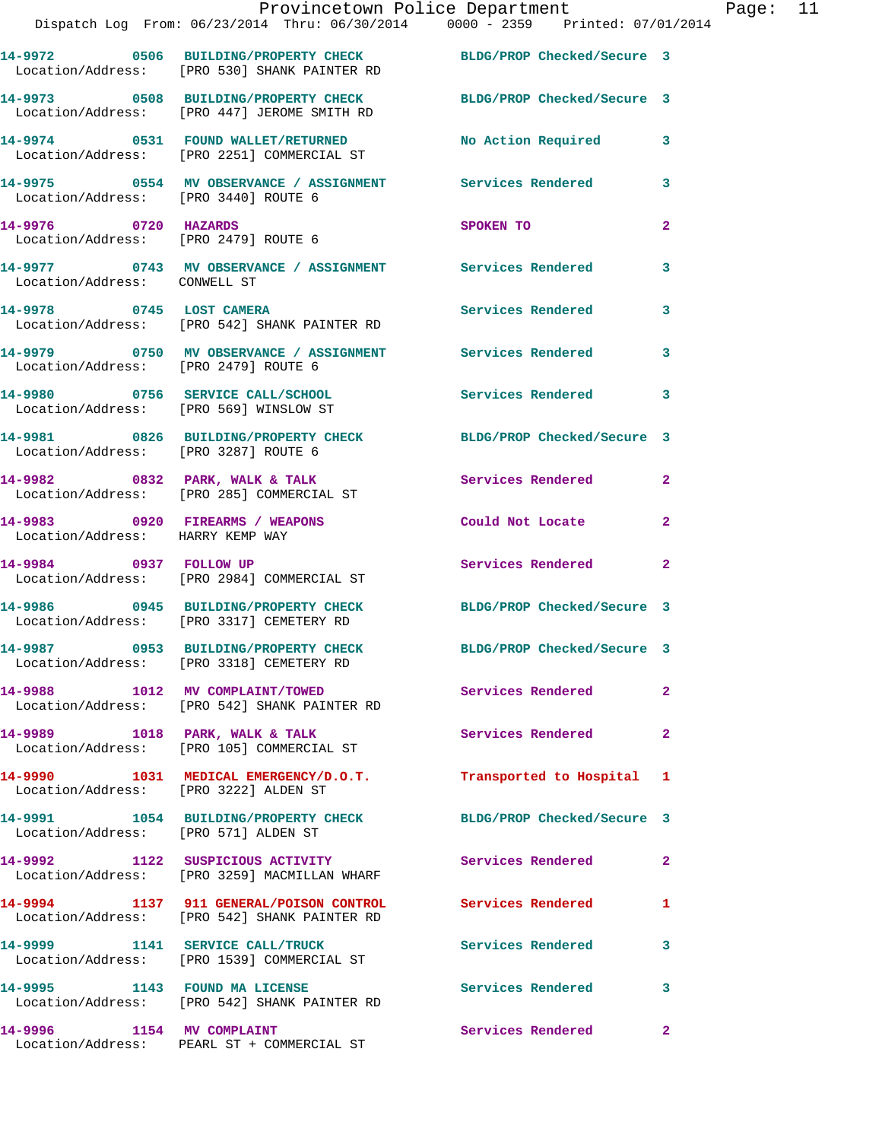|                                       | Provincetown Police Department<br>Dispatch Log From: 06/23/2014 Thru: 06/30/2014 0000 - 2359 Printed: 07/01/2014 |                            |                |
|---------------------------------------|------------------------------------------------------------------------------------------------------------------|----------------------------|----------------|
|                                       | 14-9972 0506 BUILDING/PROPERTY CHECK BLDG/PROP Checked/Secure 3<br>Location/Address: [PRO 530] SHANK PAINTER RD  |                            |                |
|                                       | 14-9973 0508 BUILDING/PROPERTY CHECK BLDG/PROP Checked/Secure 3<br>Location/Address: [PRO 447] JEROME SMITH RD   |                            |                |
|                                       | 14-9974 0531 FOUND WALLET/RETURNED<br>Location/Address: [PRO 2251] COMMERCIAL ST                                 | No Action Required         | 3              |
| Location/Address: [PRO 3440] ROUTE 6  | 14-9975 0554 MV OBSERVANCE / ASSIGNMENT Services Rendered                                                        |                            | 3              |
| 14-9976 0720 HAZARDS                  | Location/Address: [PRO 2479] ROUTE 6                                                                             | SPOKEN TO                  | $\mathbf{2}$   |
| Location/Address: CONWELL ST          | 14-9977 0743 MV OBSERVANCE / ASSIGNMENT Services Rendered                                                        |                            | 3              |
|                                       | 14-9978 0745 LOST CAMERA<br>Location/Address: [PRO 542] SHANK PAINTER RD                                         | Services Rendered          | 3              |
| Location/Address: [PRO 2479] ROUTE 6  | 14-9979 0750 MV OBSERVANCE / ASSIGNMENT Services Rendered                                                        |                            | 3              |
|                                       | 14-9980 0756 SERVICE CALL/SCHOOL<br>Location/Address: [PRO 569] WINSLOW ST                                       | Services Rendered          | 3              |
| Location/Address: [PRO 3287] ROUTE 6  | 14-9981 0826 BUILDING/PROPERTY CHECK BLDG/PROP Checked/Secure 3                                                  |                            |                |
|                                       | 14-9982 0832 PARK, WALK & TALK<br>Location/Address: [PRO 285] COMMERCIAL ST                                      | Services Rendered          | $\overline{a}$ |
| Location/Address: HARRY KEMP WAY      | 14-9983 0920 FIREARMS / WEAPONS                                                                                  | Could Not Locate           | $\mathbf{2}$   |
| 14-9984 0937 FOLLOW UP                | Location/Address: [PRO 2984] COMMERCIAL ST                                                                       | <b>Services Rendered</b>   | $\overline{a}$ |
|                                       | 14-9986 0945 BUILDING/PROPERTY CHECK BLDG/PROP Checked/Secure 3<br>Location/Address: [PRO 3317] CEMETERY RD      |                            |                |
|                                       | 14-9987 0953 BUILDING/PROPERTY CHECK<br>Location/Address: [PRO 3318] CEMETERY RD                                 | BLDG/PROP Checked/Secure 3 |                |
|                                       | 14-9988 1012 MV COMPLAINT/TOWED<br>Location/Address: [PRO 542] SHANK PAINTER RD                                  | <b>Services Rendered</b>   | $\mathbf{2}$   |
|                                       | 14-9989 1018 PARK, WALK & TALK<br>Location/Address: [PRO 105] COMMERCIAL ST                                      | Services Rendered          | $\mathbf{2}$   |
| Location/Address: [PRO 3222] ALDEN ST | 14-9990 1031 MEDICAL EMERGENCY/D.O.T. Transported to Hospital                                                    |                            | 1              |
| Location/Address: [PRO 571] ALDEN ST  | 14-9991 1054 BUILDING/PROPERTY CHECK                                                                             | BLDG/PROP Checked/Secure 3 |                |
|                                       | 14-9992 1122 SUSPICIOUS ACTIVITY<br>Location/Address: [PRO 3259] MACMILLAN WHARF                                 | Services Rendered          | $\mathbf{2}$   |
|                                       | 14-9994 1137 911 GENERAL/POISON CONTROL Services Rendered<br>Location/Address: [PRO 542] SHANK PAINTER RD        |                            | 1              |
|                                       | 14-9999 1141 SERVICE CALL/TRUCK<br>Location/Address: [PRO 1539] COMMERCIAL ST                                    | <b>Services Rendered</b>   | 3              |
| 14-9995 1143 FOUND MA LICENSE         | Location/Address: [PRO 542] SHANK PAINTER RD                                                                     | <b>Services Rendered</b>   | 3              |
| 14-9996 1154 MV COMPLAINT             |                                                                                                                  | Services Rendered          | 2              |

Location/Address: PEARL ST + COMMERCIAL ST

Page:  $11$ <br> $14$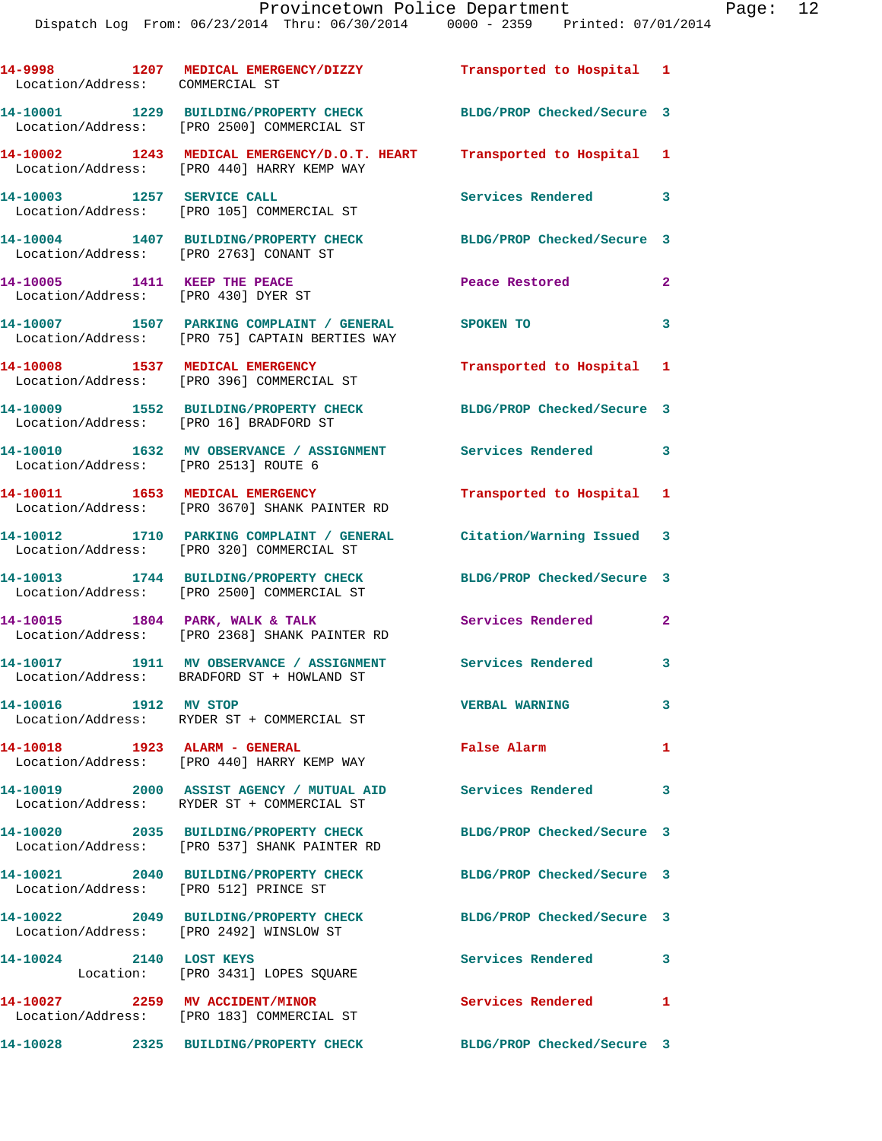| Location/Address: COMMERCIAL ST         | 14-9998 1207 MEDICAL EMERGENCY/DIZZY Transported to Hospital 1                                                       |                            |              |
|-----------------------------------------|----------------------------------------------------------------------------------------------------------------------|----------------------------|--------------|
|                                         | 14-10001 1229 BUILDING/PROPERTY CHECK<br>Location/Address: [PRO 2500] COMMERCIAL ST                                  | BLDG/PROP Checked/Secure 3 |              |
|                                         | 14-10002 1243 MEDICAL EMERGENCY/D.O.T. HEART Transported to Hospital 1<br>Location/Address: [PRO 440] HARRY KEMP WAY |                            |              |
| 14-10003 1257 SERVICE CALL              | Location/Address: [PRO 105] COMMERCIAL ST                                                                            | Services Rendered 3        |              |
| Location/Address: [PRO 2763] CONANT ST  | 14-10004 1407 BUILDING/PROPERTY CHECK                                                                                | BLDG/PROP Checked/Secure 3 |              |
| 14-10005 1411 KEEP THE PEACE            | Location/Address: [PRO 430] DYER ST                                                                                  | Peace Restored             | $\mathbf{2}$ |
|                                         | 14-10007 1507 PARKING COMPLAINT / GENERAL SPOKEN TO<br>Location/Address: [PRO 75] CAPTAIN BERTIES WAY                |                            | 3            |
|                                         | 14-10008 1537 MEDICAL EMERGENCY<br>Location/Address: [PRO 396] COMMERCIAL ST                                         | Transported to Hospital 1  |              |
| Location/Address: [PRO 16] BRADFORD ST  | 14-10009 1552 BUILDING/PROPERTY CHECK BLDG/PROP Checked/Secure 3                                                     |                            |              |
| Location/Address: [PRO 2513] ROUTE 6    | 14-10010 1632 MV OBSERVANCE / ASSIGNMENT Services Rendered 3                                                         |                            |              |
|                                         | 14-10011 1653 MEDICAL EMERGENCY<br>Location/Address: [PRO 3670] SHANK PAINTER RD                                     | Transported to Hospital 1  |              |
|                                         | 14-10012 1710 PARKING COMPLAINT / GENERAL Citation/Warning Issued 3<br>Location/Address: [PRO 320] COMMERCIAL ST     |                            |              |
|                                         | 14-10013 1744 BUILDING/PROPERTY CHECK<br>Location/Address: [PRO 2500] COMMERCIAL ST                                  | BLDG/PROP Checked/Secure 3 |              |
| 14-10015 1804 PARK, WALK & TALK         | Location/Address: [PRO 2368] SHANK PAINTER RD                                                                        | Services Rendered          | $\mathbf{2}$ |
|                                         | 14-10017 1911 MV OBSERVANCE / ASSIGNMENT<br>Location/Address: BRADFORD ST + HOWLAND ST                               | Services Rendered 3        |              |
| 14-10016 1912 MV STOP                   | Location/Address: RYDER ST + COMMERCIAL ST                                                                           | <b>VERBAL WARNING</b>      | $\mathbf{3}$ |
|                                         | 14-10018 1923 ALARM - GENERAL<br>Location/Address: [PRO 440] HARRY KEMP WAY                                          | False Alarm                | 1            |
|                                         | 14-10019 2000 ASSIST AGENCY / MUTUAL AID Services Rendered 3<br>Location/Address: RYDER ST + COMMERCIAL ST           |                            |              |
|                                         | 14-10020 2035 BUILDING/PROPERTY CHECK<br>Location/Address: [PRO 537] SHANK PAINTER RD                                | BLDG/PROP Checked/Secure 3 |              |
| Location/Address: [PRO 512] PRINCE ST   | 14-10021 2040 BUILDING/PROPERTY CHECK BLDG/PROP Checked/Secure 3                                                     |                            |              |
| Location/Address: [PRO 2492] WINSLOW ST | 14-10022 2049 BUILDING/PROPERTY CHECK                                                                                | BLDG/PROP Checked/Secure 3 |              |
| 14-10024 2140 LOST KEYS                 | Location: [PRO 3431] LOPES SQUARE                                                                                    | Services Rendered          | 3            |
|                                         | 14-10027 2259 MV ACCIDENT/MINOR<br>Location/Address: [PRO 183] COMMERCIAL ST                                         | Services Rendered 1        |              |
|                                         | 14-10028 2325 BUILDING/PROPERTY CHECK                                                                                | BLDG/PROP Checked/Secure 3 |              |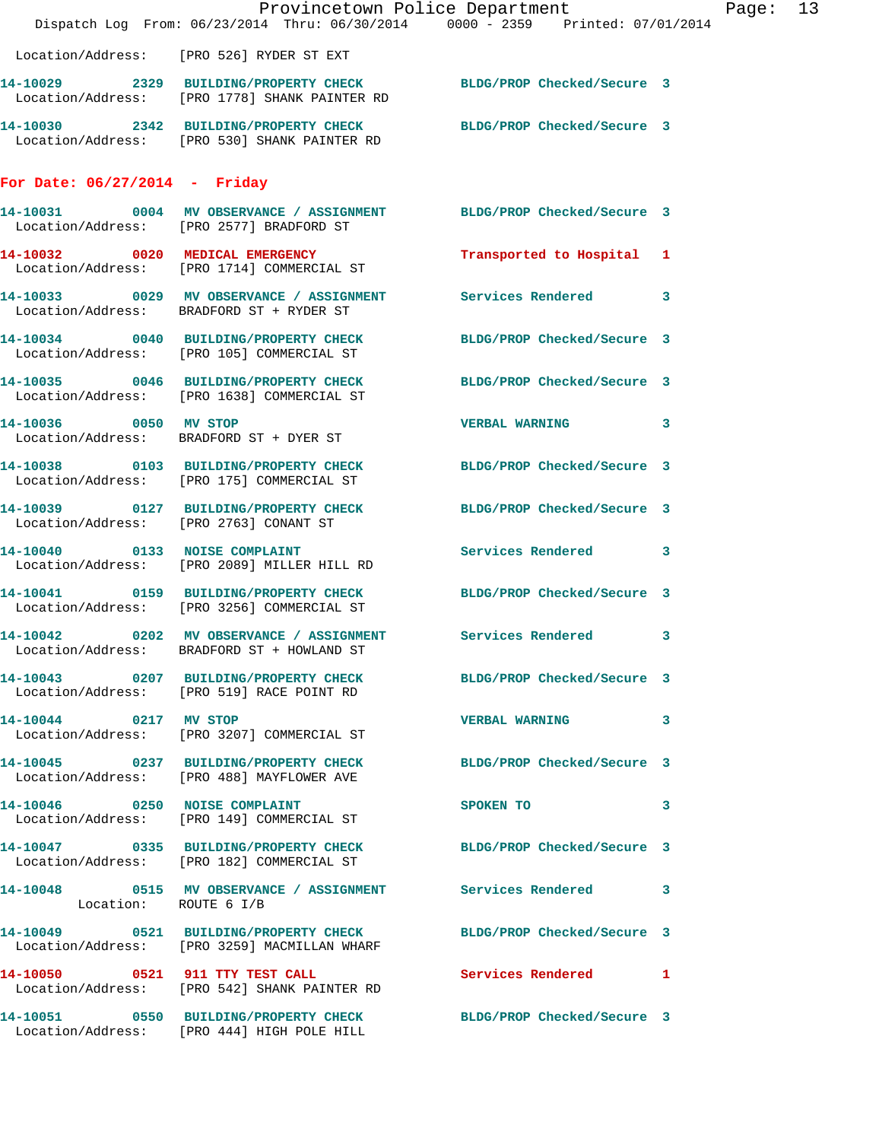|                                        |                                                                                     | Provincetown Police Department<br>Dispatch Log From: 06/23/2014 Thru: 06/30/2014 0000 - 2359 Printed: 07/01/2014 | Page: 13 |  |
|----------------------------------------|-------------------------------------------------------------------------------------|------------------------------------------------------------------------------------------------------------------|----------|--|
|                                        | Location/Address: [PRO 526] RYDER ST EXT                                            |                                                                                                                  |          |  |
|                                        | Location/Address: [PRO 1778] SHANK PAINTER RD                                       | 14-10029 2329 BUILDING/PROPERTY CHECK BLDG/PROP Checked/Secure 3                                                 |          |  |
|                                        | Location/Address: [PRO 530] SHANK PAINTER RD                                        | 14-10030 2342 BUILDING/PROPERTY CHECK BLDG/PROP Checked/Secure 3                                                 |          |  |
| For Date: $06/27/2014$ - Friday        |                                                                                     |                                                                                                                  |          |  |
|                                        | Location/Address: [PRO 2577] BRADFORD ST                                            | 14-10031 0004 MV OBSERVANCE / ASSIGNMENT BLDG/PROP Checked/Secure 3                                              |          |  |
|                                        | 14-10032 0020 MEDICAL EMERGENCY<br>Location/Address: [PRO 1714] COMMERCIAL ST       | Transported to Hospital 1                                                                                        |          |  |
|                                        | Location/Address: BRADFORD ST + RYDER ST                                            | 14-10033 0029 MV OBSERVANCE / ASSIGNMENT Services Rendered 3                                                     |          |  |
|                                        | 14-10034 0040 BUILDING/PROPERTY CHECK<br>Location/Address: [PRO 105] COMMERCIAL ST  | BLDG/PROP Checked/Secure 3                                                                                       |          |  |
|                                        | 14-10035 0046 BUILDING/PROPERTY CHECK<br>Location/Address: [PRO 1638] COMMERCIAL ST | BLDG/PROP Checked/Secure 3                                                                                       |          |  |
| 14-10036 0050 MV STOP                  | Location/Address: BRADFORD ST + DYER ST                                             | VERBAL WARNING 3                                                                                                 |          |  |
|                                        | Location/Address: [PRO 175] COMMERCIAL ST                                           | 14-10038 0103 BUILDING/PROPERTY CHECK BLDG/PROP Checked/Secure 3                                                 |          |  |
| Location/Address: [PRO 2763] CONANT ST |                                                                                     | 14-10039 0127 BUILDING/PROPERTY CHECK BLDG/PROP Checked/Secure 3                                                 |          |  |
|                                        | 14-10040 0133 NOISE COMPLAINT<br>Location/Address: [PRO 2089] MILLER HILL RD        | Services Rendered 3                                                                                              |          |  |
|                                        | 14-10041 0159 BUILDING/PROPERTY CHECK<br>Location/Address: [PRO 3256] COMMERCIAL ST | BLDG/PROP Checked/Secure 3                                                                                       |          |  |
|                                        | Location/Address: BRADFORD ST + HOWLAND ST                                          | 14-10042 0202 MV OBSERVANCE / ASSIGNMENT Services Rendered 3                                                     |          |  |
|                                        | Location/Address: [PRO 519] RACE POINT RD                                           | 14-10043 0207 BUILDING/PROPERTY CHECK BLDG/PROP Checked/Secure 3                                                 |          |  |
|                                        | 14-10044 0217 MV STOP<br>Location/Address: [PRO 3207] COMMERCIAL ST                 | VERBAL WARNING 3                                                                                                 |          |  |
|                                        | Location/Address: [PRO 488] MAYFLOWER AVE                                           | 14-10045 0237 BUILDING/PROPERTY CHECK BLDG/PROP Checked/Secure 3                                                 |          |  |
|                                        | 14-10046 0250 NOISE COMPLAINT<br>Location/Address: [PRO 149] COMMERCIAL ST          | SPOKEN TO 3                                                                                                      |          |  |
|                                        | Location/Address: [PRO 182] COMMERCIAL ST                                           | 14-10047 0335 BUILDING/PROPERTY CHECK BLDG/PROP Checked/Secure 3                                                 |          |  |
| Location: ROUTE 6 I/B                  |                                                                                     | 14-10048 0515 MV OBSERVANCE / ASSIGNMENT Services Rendered 3                                                     |          |  |
|                                        | Location/Address: [PRO 3259] MACMILLAN WHARF                                        | 14-10049 0521 BUILDING/PROPERTY CHECK BLDG/PROP Checked/Secure 3                                                 |          |  |
|                                        | 14-10050 0521 911 TTY TEST CALL<br>Location/Address: [PRO 542] SHANK PAINTER RD     | Services Rendered 1                                                                                              |          |  |
|                                        | Location/Address: [PRO 444] HIGH POLE HILL                                          | 14-10051 0550 BUILDING/PROPERTY CHECK BLDG/PROP Checked/Secure 3                                                 |          |  |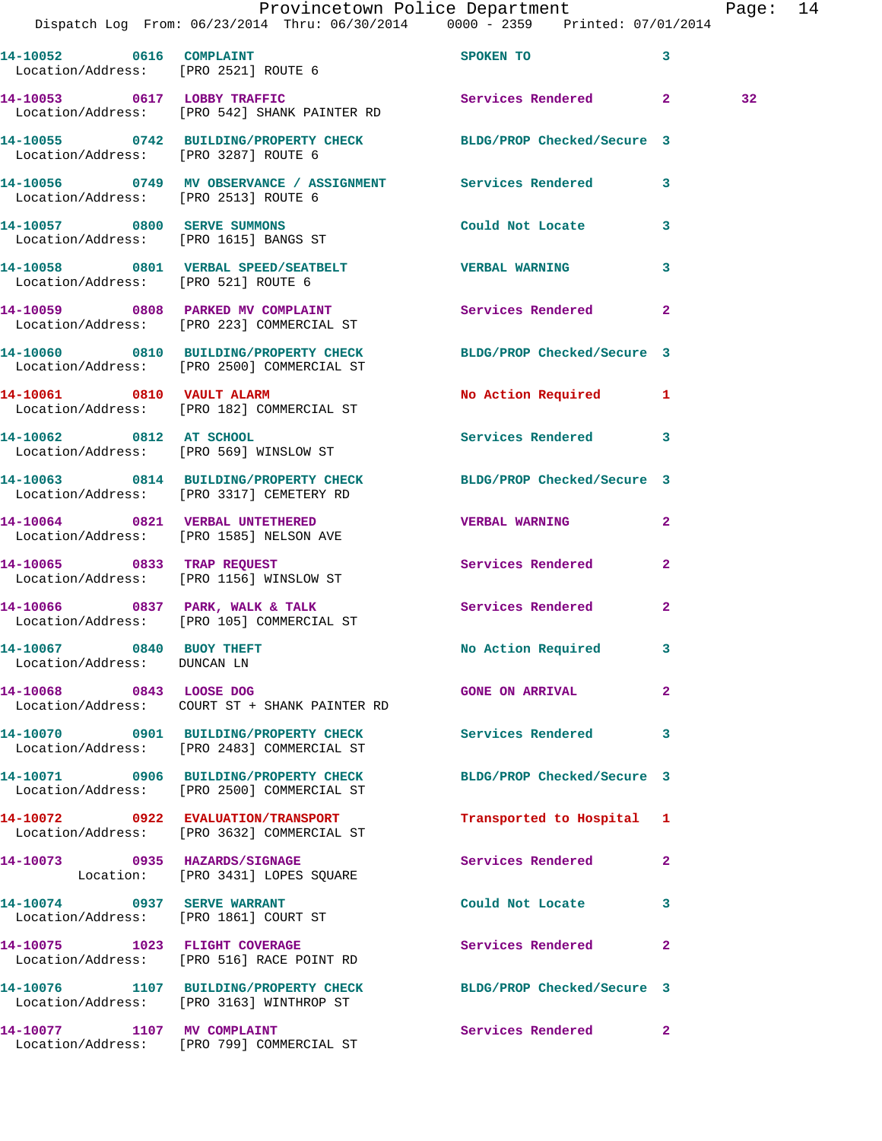|                                                         | Provincetown Police Department<br>Dispatch Log From: 06/23/2014 Thru: 06/30/2014 0000 - 2359 Printed: 07/01/2014 |                           |              | Page: 14 |  |
|---------------------------------------------------------|------------------------------------------------------------------------------------------------------------------|---------------------------|--------------|----------|--|
|                                                         | 14-10052 0616 COMPLAINT<br>Location/Address: [PRO 2521] ROUTE 6                                                  | SPOKEN TO 3               |              |          |  |
|                                                         | 14-10053 0617 LOBBY TRAFFIC Services Rendered 2<br>Location/Address: [PRO 542] SHANK PAINTER RD                  |                           |              | 32       |  |
|                                                         | 14-10055 0742 BUILDING/PROPERTY CHECK BLDG/PROP Checked/Secure 3<br>Location/Address: [PRO 3287] ROUTE 6         |                           |              |          |  |
|                                                         | 14-10056 0749 MV OBSERVANCE / ASSIGNMENT Services Rendered 3<br>Location/Address: [PRO 2513] ROUTE 6             |                           |              |          |  |
| 14-10057 0800 SERVE SUMMONS                             | Location/Address: [PRO 1615] BANGS ST                                                                            | Could Not Locate 3        |              |          |  |
| Location/Address: [PRO 521] ROUTE 6                     | 14-10058 0801 VERBAL SPEED/SEATBELT  VERBAL WARNING                                                              |                           | $\mathbf{3}$ |          |  |
|                                                         | 14-10059 0808 PARKED MV COMPLAINT Services Rendered 2<br>Location/Address: [PRO 223] COMMERCIAL ST               |                           |              |          |  |
|                                                         | 14-10060 0810 BUILDING/PROPERTY CHECK BLDG/PROP Checked/Secure 3<br>Location/Address: [PRO 2500] COMMERCIAL ST   |                           |              |          |  |
|                                                         | 14-10061 0810 VAULT ALARM<br>Location/Address: [PRO 182] COMMERCIAL ST                                           | No Action Required 1      |              |          |  |
|                                                         | 14-10062 0812 AT SCHOOL<br>Location/Address: [PRO 569] WINSLOW ST                                                | Services Rendered 3       |              |          |  |
|                                                         | 14-10063 0814 BUILDING/PROPERTY CHECK BLDG/PROP Checked/Secure 3<br>Location/Address: [PRO 3317] CEMETERY RD     |                           |              |          |  |
|                                                         | 14-10064 0821 VERBAL UNTETHERED<br>Location/Address: [PRO 1585] NELSON AVE                                       | <b>VERBAL WARNING</b>     | $\mathbf{2}$ |          |  |
|                                                         | 14-10065 0833 TRAP REQUEST<br>Location/Address: [PRO 1156] WINSLOW ST                                            | Services Rendered 2       |              |          |  |
|                                                         |                                                                                                                  | Services Rendered 2       |              |          |  |
| 14-10067 0840 BUOY THEFT<br>Location/Address: DUNCAN LN |                                                                                                                  | <b>No Action Required</b> |              |          |  |
|                                                         | 14-10068 0843 LOOSE DOG<br>Location/Address: COURT ST + SHANK PAINTER RD                                         | <b>GONE ON ARRIVAL</b>    | $\mathbf{2}$ |          |  |
|                                                         | 14-10070 0901 BUILDING/PROPERTY CHECK Services Rendered 3<br>Location/Address: [PRO 2483] COMMERCIAL ST          |                           |              |          |  |
|                                                         | 14-10071 0906 BUILDING/PROPERTY CHECK BLDG/PROP Checked/Secure 3<br>Location/Address: [PRO 2500] COMMERCIAL ST   |                           |              |          |  |
|                                                         | 14-10072 0922 EVALUATION/TRANSPORT<br>Location/Address: [PRO 3632] COMMERCIAL ST                                 | Transported to Hospital 1 |              |          |  |
|                                                         | 14-10073 0935 HAZARDS/SIGNAGE<br>Location: [PRO 3431] LOPES SQUARE                                               | Services Rendered         | $\mathbf{2}$ |          |  |
| 14-10074 0937 SERVE WARRANT                             | Location/Address: [PRO 1861] COURT ST                                                                            | Could Not Locate 3        |              |          |  |
|                                                         | 14-10075 1023 FLIGHT COVERAGE<br>Location/Address: [PRO 516] RACE POINT RD                                       | Services Rendered         | $\mathbf{2}$ |          |  |
|                                                         | 14-10076 1107 BUILDING/PROPERTY CHECK BLDG/PROP Checked/Secure 3<br>Location/Address: [PRO 3163] WINTHROP ST     |                           |              |          |  |
|                                                         | 14-10077 1107 MV COMPLAINT<br>Location/Address: [PRO 799] COMMERCIAL ST                                          | Services Rendered 2       |              |          |  |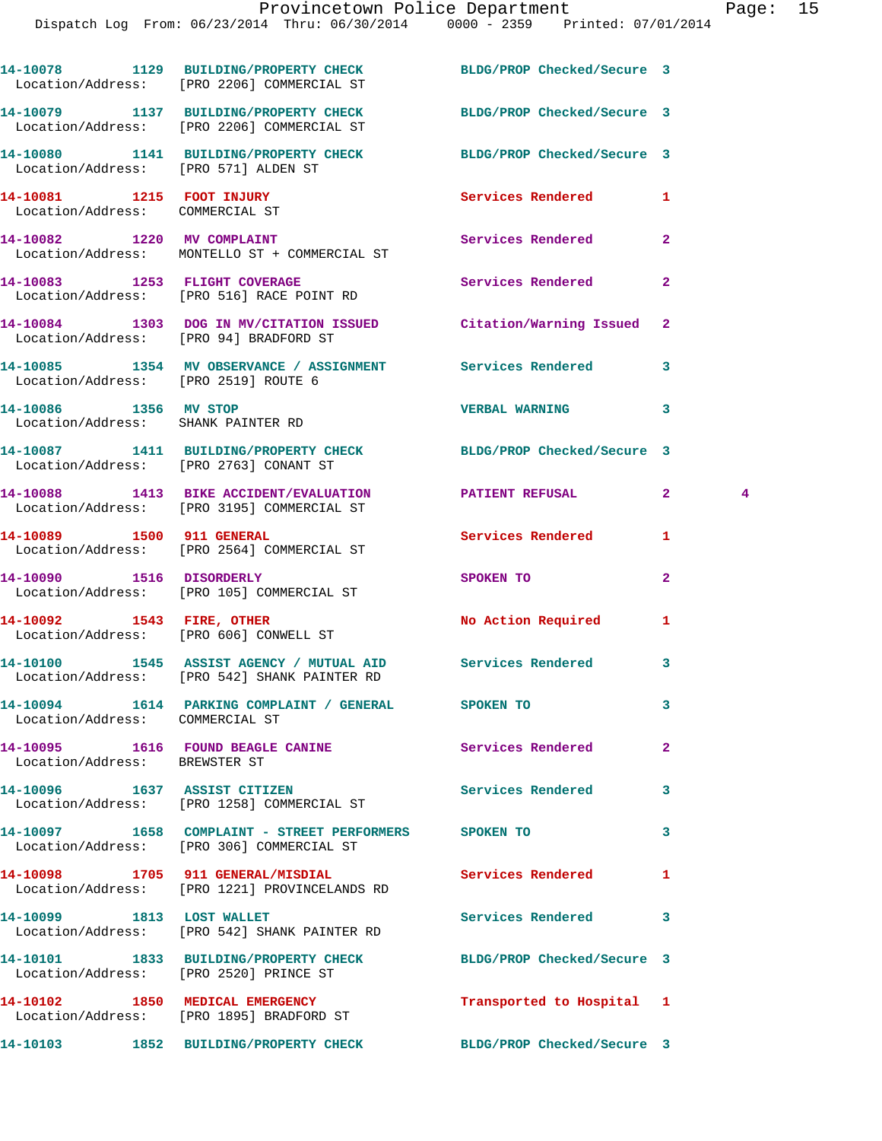|                                                              | 14-10078 1129 BUILDING/PROPERTY CHECK BLDG/PROP Checked/Secure 3<br>Location/Address: [PRO 2206] COMMERCIAL ST |                           |                   |
|--------------------------------------------------------------|----------------------------------------------------------------------------------------------------------------|---------------------------|-------------------|
|                                                              | 14-10079 1137 BUILDING/PROPERTY CHECK BLDG/PROP Checked/Secure 3<br>Location/Address: [PRO 2206] COMMERCIAL ST |                           |                   |
| Location/Address: [PRO 571] ALDEN ST                         | 14-10080 1141 BUILDING/PROPERTY CHECK BLDG/PROP Checked/Secure 3                                               |                           |                   |
| 14-10081 1215 FOOT INJURY<br>Location/Address: COMMERCIAL ST |                                                                                                                | <b>Services Rendered</b>  | 1                 |
| 14-10082 1220 MV COMPLAINT                                   | Location/Address: MONTELLO ST + COMMERCIAL ST                                                                  | Services Rendered         | $\overline{a}$    |
|                                                              | 14-10083 1253 FLIGHT COVERAGE<br>Location/Address: [PRO 516] RACE POINT RD                                     | Services Rendered         | $\mathbf{2}$      |
|                                                              | 14-10084 1303 DOG IN MV/CITATION ISSUED Citation/Warning Issued<br>Location/Address: [PRO 94] BRADFORD ST      |                           | $\mathbf{2}$      |
| Location/Address: [PRO 2519] ROUTE 6                         | 14-10085 1354 MV OBSERVANCE / ASSIGNMENT Services Rendered                                                     |                           | 3                 |
| 14-10086 1356 MV STOP<br>Location/Address: SHANK PAINTER RD  |                                                                                                                | <b>VERBAL WARNING</b>     | 3                 |
|                                                              | 14-10087 1411 BUILDING/PROPERTY CHECK BLDG/PROP Checked/Secure 3<br>Location/Address: [PRO 2763] CONANT ST     |                           |                   |
|                                                              | 14-10088 1413 BIKE ACCIDENT/EVALUATION PATIENT REFUSAL<br>Location/Address: [PRO 3195] COMMERCIAL ST           |                           | $\mathbf{2}$<br>4 |
|                                                              | 14-10089 1500 911 GENERAL<br>Location/Address: [PRO 2564] COMMERCIAL ST                                        | <b>Services Rendered</b>  | 1                 |
|                                                              | 14-10090 1516 DISORDERLY<br>Location/Address: [PRO 105] COMMERCIAL ST                                          | SPOKEN TO                 | $\mathbf{2}$      |
|                                                              | 14-10092 1543 FIRE, OTHER<br>Location/Address: [PRO 606] CONWELL ST                                            | No Action Required        | 1                 |
|                                                              | 14-10100 1545 ASSIST AGENCY / MUTUAL AID Services Rendered<br>Location/Address: [PRO 542] SHANK PAINTER RD     |                           | 3                 |
| Location/Address: COMMERCIAL ST                              | 14-10094 1614 PARKING COMPLAINT / GENERAL                                                                      | SPOKEN TO                 | 3                 |
| Location/Address: BREWSTER ST                                | 14-10095 1616 FOUND BEAGLE CANINE Services Rendered                                                            |                           | $\overline{2}$    |
|                                                              | 14-10096 1637 ASSIST CITIZEN<br>Location/Address: [PRO 1258] COMMERCIAL ST                                     | Services Rendered         | 3                 |
|                                                              | 14-10097 1658 COMPLAINT - STREET PERFORMERS<br>Location/Address: [PRO 306] COMMERCIAL ST                       | SPOKEN TO                 | 3                 |
|                                                              | 14-10098 1705 911 GENERAL/MISDIAL<br>Location/Address: [PRO 1221] PROVINCELANDS RD                             | Services Rendered         | 1                 |
|                                                              | 14-10099 1813 LOST WALLET<br>Location/Address: [PRO 542] SHANK PAINTER RD                                      | Services Rendered         | 3                 |
|                                                              | 14-10101 1833 BUILDING/PROPERTY CHECK BLDG/PROP Checked/Secure 3<br>Location/Address: [PRO 2520] PRINCE ST     |                           |                   |
|                                                              | 14-10102 1850 MEDICAL EMERGENCY<br>Location/Address: [PRO 1895] BRADFORD ST                                    | Transported to Hospital 1 |                   |
|                                                              | 14-10103 1852 BUILDING/PROPERTY CHECK BLDG/PROP Checked/Secure 3                                               |                           |                   |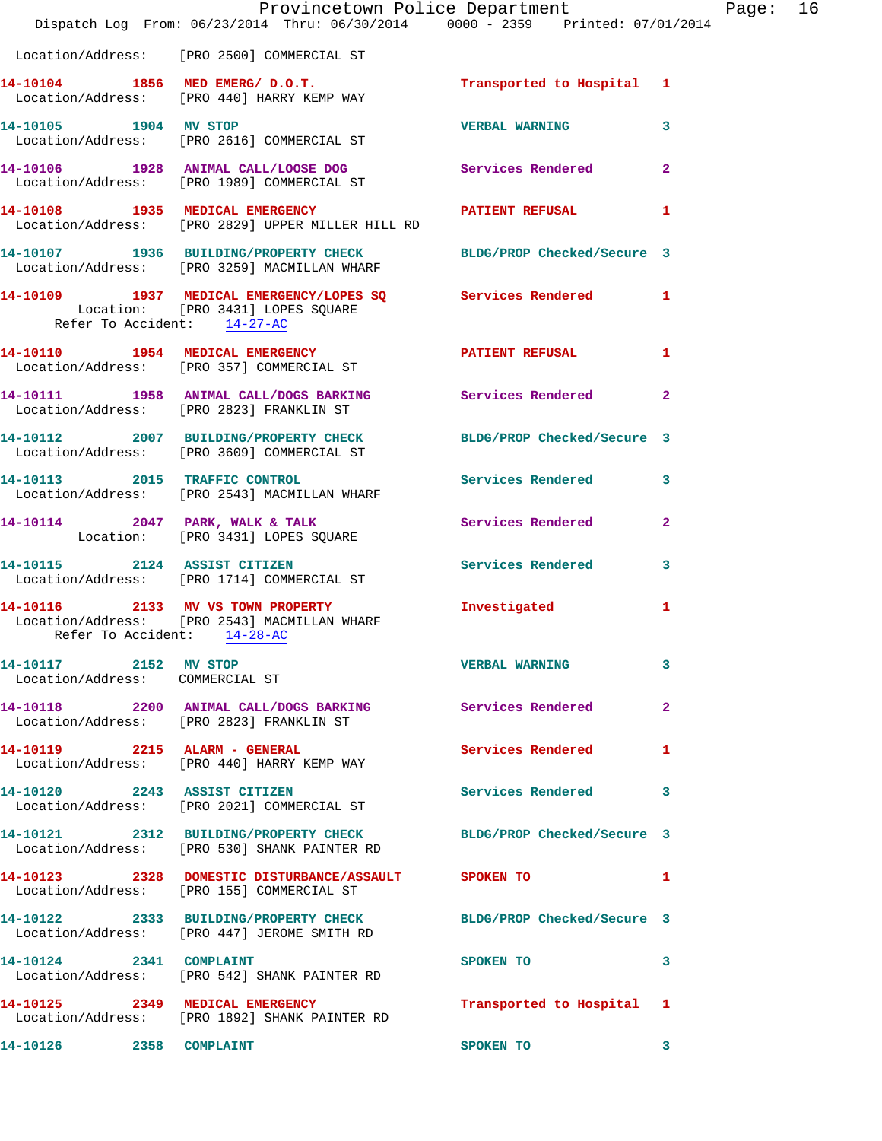|                                                          | Provincetown Police Department<br>Dispatch Log From: 06/23/2014 Thru: 06/30/2014 0000 - 2359 Printed: 07/01/2014               |                           |                |
|----------------------------------------------------------|--------------------------------------------------------------------------------------------------------------------------------|---------------------------|----------------|
|                                                          | Location/Address: [PRO 2500] COMMERCIAL ST                                                                                     |                           |                |
|                                                          | 14-10104 1856 MED EMERG/ D.O.T.<br>Location/Address: [PRO 440] HARRY KEMP WAY                                                  | Transported to Hospital 1 |                |
|                                                          | 14-10105 1904 MV STOP<br>Location/Address: [PRO 2616] COMMERCIAL ST                                                            | <b>VERBAL WARNING</b>     | 3              |
|                                                          | 14-10106 1928 ANIMAL CALL/LOOSE DOG<br>Location/Address: [PRO 1989] COMMERCIAL ST                                              | Services Rendered         | $\overline{2}$ |
|                                                          | 14-10108 1935 MEDICAL EMERGENCY PATIENT REFUSAL<br>Location/Address: [PRO 2829] UPPER MILLER HILL RD                           |                           | 1              |
|                                                          | 14-10107 1936 BUILDING/PROPERTY CHECK BLDG/PROP Checked/Secure 3<br>Location/Address: [PRO 3259] MACMILLAN WHARF               |                           |                |
|                                                          | 14-10109 1937 MEDICAL EMERGENCY/LOPES SQ Services Rendered<br>Location: [PRO 3431] LOPES SQUARE<br>Refer To Accident: 14-27-AC |                           | 1              |
|                                                          | 14-10110 1954 MEDICAL EMERGENCY<br>Location/Address: [PRO 357] COMMERCIAL ST                                                   | <b>PATIENT REFUSAL</b>    | 1              |
|                                                          | 14-10111 1958 ANIMAL CALL/DOGS BARKING Services Rendered<br>Location/Address: [PRO 2823] FRANKLIN ST                           |                           | $\overline{a}$ |
|                                                          | 14-10112 2007 BUILDING/PROPERTY CHECK BLDG/PROP Checked/Secure 3<br>Location/Address: [PRO 3609] COMMERCIAL ST                 |                           |                |
|                                                          | 14-10113 2015 TRAFFIC CONTROL<br>Location/Address: [PRO 2543] MACMILLAN WHARF                                                  | Services Rendered         | 3              |
|                                                          | 14-10114 2047 PARK, WALK & TALK 2001 Services Rendered<br>Location: [PRO 3431] LOPES SQUARE                                    |                           | $\mathbf{2}$   |
|                                                          | 14-10115 2124 ASSIST CITIZEN<br>Location/Address: [PRO 1714] COMMERCIAL ST                                                     | Services Rendered         | 3              |
| Refer To Accident: 14-28-AC                              | 14-10116 2133 MV VS TOWN PROPERTY<br>Location/Address: [PRO 2543] MACMILLAN WHARF                                              | Investigated              | 1              |
| 14-10117 2152 MV STOP<br>Location/Address: COMMERCIAL ST |                                                                                                                                | <b>VERBAL WARNING</b>     | 3              |
|                                                          | 14-10118 2200 ANIMAL CALL/DOGS BARKING Services Rendered<br>Location/Address: [PRO 2823] FRANKLIN ST                           |                           | 2              |
| 14-10119  2215  ALARM - GENERAL                          | Location/Address: [PRO 440] HARRY KEMP WAY                                                                                     | Services Rendered         | 1              |
|                                                          | 14-10120 2243 ASSIST CITIZEN<br>Location/Address: [PRO 2021] COMMERCIAL ST                                                     | Services Rendered         | 3              |
|                                                          | 14-10121 2312 BUILDING/PROPERTY CHECK BLDG/PROP Checked/Secure 3<br>Location/Address: [PRO 530] SHANK PAINTER RD               |                           |                |
|                                                          | 14-10123 2328 DOMESTIC DISTURBANCE/ASSAULT SPOKEN TO<br>Location/Address: [PRO 155] COMMERCIAL ST                              |                           | 1              |
|                                                          | 14-10122 2333 BUILDING/PROPERTY CHECK BLDG/PROP Checked/Secure 3<br>Location/Address: [PRO 447] JEROME SMITH RD                |                           |                |
| 14-10124 2341 COMPLAINT                                  | Location/Address: [PRO 542] SHANK PAINTER RD                                                                                   | SPOKEN TO                 | 3              |
| 14-10125 2349 MEDICAL EMERGENCY                          | Location/Address: [PRO 1892] SHANK PAINTER RD                                                                                  | Transported to Hospital   | 1              |
| 14-10126 2358 COMPLAINT                                  |                                                                                                                                | SPOKEN TO                 | 3              |

Page:  $16 \n4$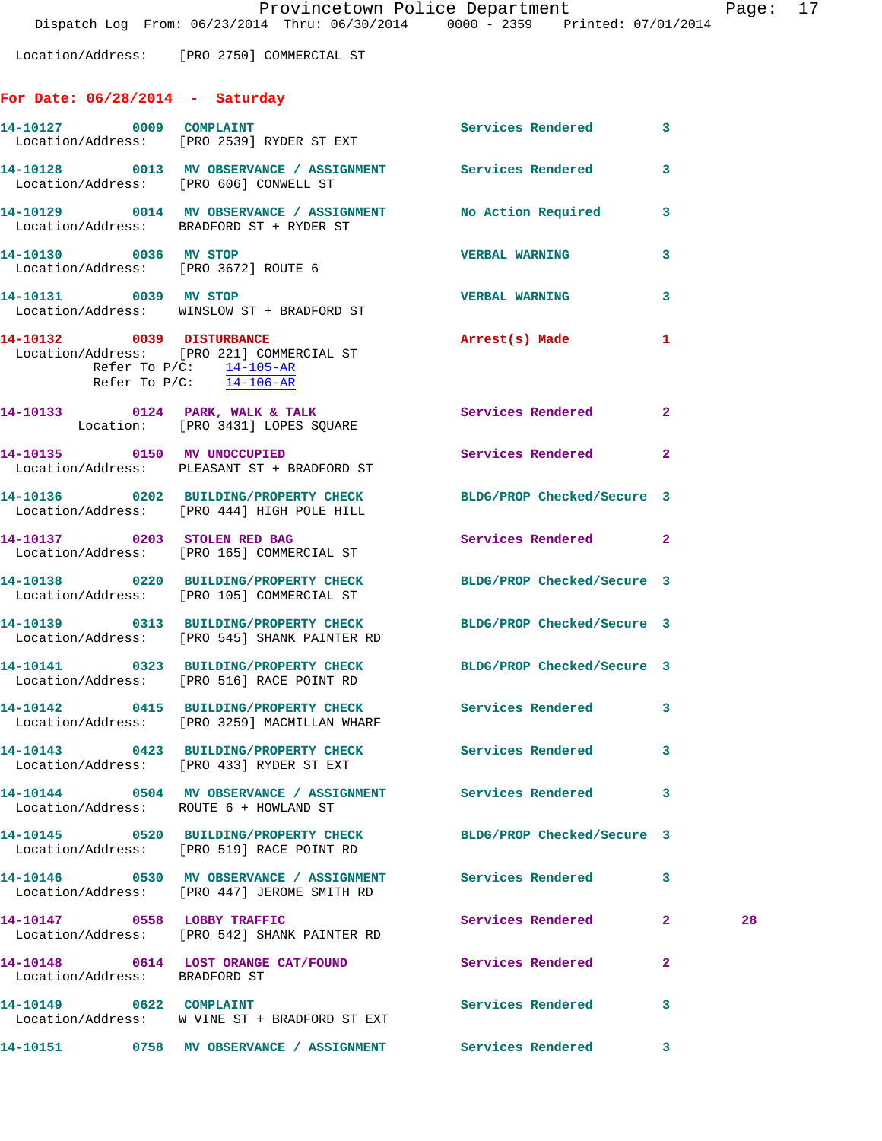**For Date: 06/28/2014 - Saturday**

Location/Address: [PRO 2750] COMMERCIAL ST

|                                                               | 14-10127 0009 COMPLAINT<br>Location/Address: [PRO 2539] RYDER ST EXT                                                                           | Services Rendered          | 3              |    |
|---------------------------------------------------------------|------------------------------------------------------------------------------------------------------------------------------------------------|----------------------------|----------------|----|
|                                                               | 14-10128 0013 MV OBSERVANCE / ASSIGNMENT Services Rendered 3<br>Location/Address: [PRO 606] CONWELL ST                                         |                            |                |    |
|                                                               | 14-10129 0014 MV OBSERVANCE / ASSIGNMENT No Action Required<br>Location/Address: BRADFORD ST + RYDER ST                                        |                            | 3              |    |
| 14-10130 0036 MV STOP<br>Location/Address: [PRO 3672] ROUTE 6 |                                                                                                                                                | <b>VERBAL WARNING</b>      | 3              |    |
| 14-10131 0039 MV STOP                                         | Location/Address: WINSLOW ST + BRADFORD ST                                                                                                     | <b>VERBAL WARNING</b>      | 3              |    |
|                                                               | 14-10132 0039 DISTURBANCE<br>Location/Address: [PRO 221] COMMERCIAL ST<br>Refer To $P/C$ : $\frac{14-105-AR}{1}$<br>Refer To $P/C$ : 14-106-AR | Arrest(s) Made             | 1              |    |
|                                                               | 14-10133 0124 PARK, WALK & TALK<br>Location: [PRO 3431] LOPES SQUARE                                                                           | Services Rendered 2        |                |    |
|                                                               | 14-10135 0150 MV UNOCCUPIED<br>Location/Address: PLEASANT ST + BRADFORD ST                                                                     | Services Rendered          | $\mathbf{2}$   |    |
|                                                               | 14-10136 0202 BUILDING/PROPERTY CHECK BLDG/PROP Checked/Secure 3<br>Location/Address: [PRO 444] HIGH POLE HILL                                 |                            |                |    |
|                                                               | 14-10137 0203 STOLEN RED BAG<br>Location/Address: [PRO 165] COMMERCIAL ST                                                                      | Services Rendered 2        |                |    |
|                                                               | 14-10138 0220 BUILDING/PROPERTY CHECK<br>Location/Address: [PRO 105] COMMERCIAL ST                                                             | BLDG/PROP Checked/Secure 3 |                |    |
|                                                               | 14-10139 0313 BUILDING/PROPERTY CHECK BLDG/PROP Checked/Secure 3<br>Location/Address: [PRO 545] SHANK PAINTER RD                               |                            |                |    |
|                                                               | 14-10141 0323 BUILDING/PROPERTY CHECK BLDG/PROP Checked/Secure 3<br>Location/Address: [PRO 516] RACE POINT RD                                  |                            |                |    |
|                                                               | 14-10142 0415 BUILDING/PROPERTY CHECK Services Rendered 3<br>Location/Address: [PRO 3259] MACMILLAN WHARF                                      |                            |                |    |
|                                                               | 14-10143      0423  BUILDING/PROPERTY CHECK        Services Rendered      3<br>Location/Address: [PRO 433] RYDER ST EXT                        |                            |                |    |
| Location/Address: ROUTE 6 + HOWLAND ST                        | 14-10144 0504 MV OBSERVANCE / ASSIGNMENT Services Rendered                                                                                     |                            | 3              |    |
|                                                               | 14-10145 0520 BUILDING/PROPERTY CHECK BLDG/PROP Checked/Secure 3<br>Location/Address: [PRO 519] RACE POINT RD                                  |                            |                |    |
|                                                               | 14-10146     0530   MV OBSERVANCE / ASSIGNMENT       Services Rendered<br>Location/Address:    [PRO 447] JEROME SMITH RD                       |                            | 3              |    |
| 14-10147 0558 LOBBY TRAFFIC                                   | Location/Address: [PRO 542] SHANK PAINTER RD                                                                                                   | Services Rendered          | $\mathbf{2}$   | 28 |
| Location/Address: BRADFORD ST                                 | 14-10148 0614 LOST ORANGE CAT/FOUND                                                                                                            | Services Rendered          | $\overline{a}$ |    |
| 14-10149 0622 COMPLAINT                                       | Location/Address: W VINE ST + BRADFORD ST EXT                                                                                                  | Services Rendered          | 3              |    |
|                                                               |                                                                                                                                                | $\sim$ 3                   |                |    |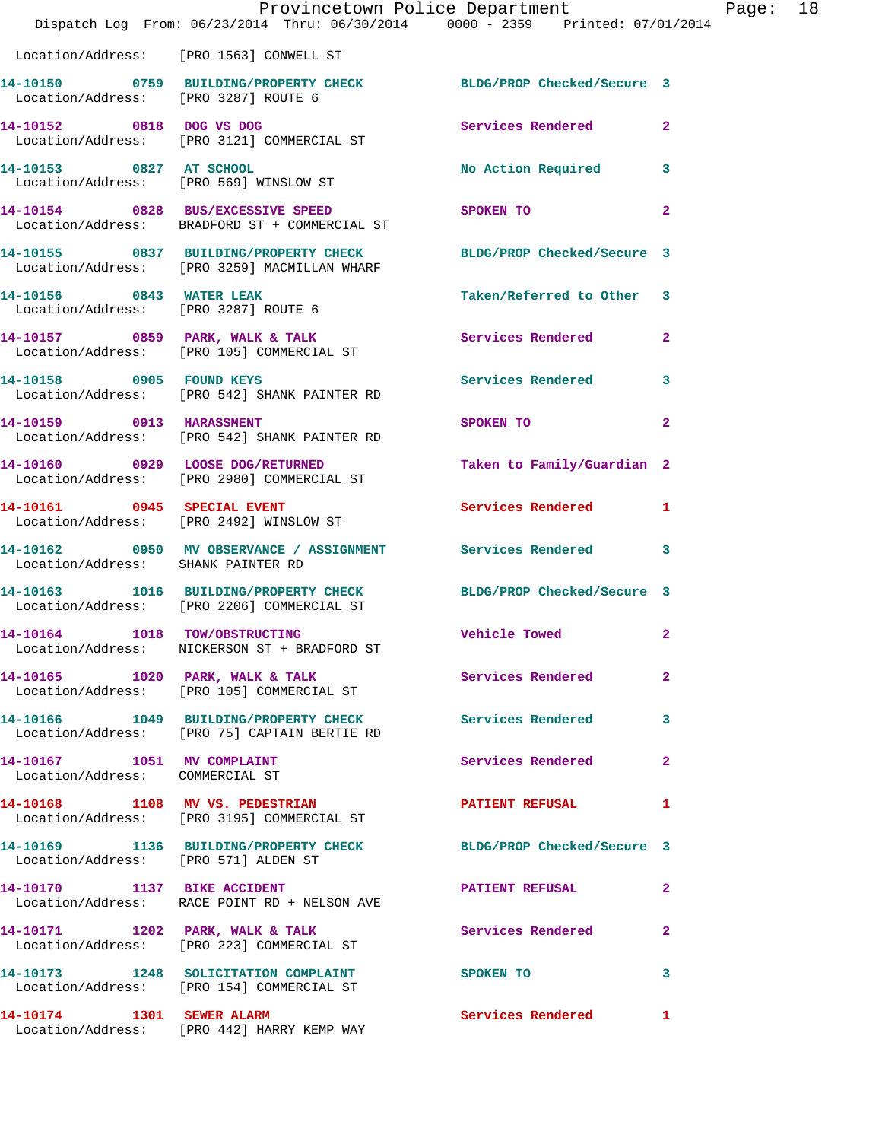|                                                               | Provincetown Police Department The Mage: 18                                                                      |                                                                                                                                                                                                                                           |              |
|---------------------------------------------------------------|------------------------------------------------------------------------------------------------------------------|-------------------------------------------------------------------------------------------------------------------------------------------------------------------------------------------------------------------------------------------|--------------|
|                                                               | Dispatch Log From: 06/23/2014 Thru: 06/30/2014 0000 - 2359 Printed: 07/01/2014                                   |                                                                                                                                                                                                                                           |              |
|                                                               | Location/Address: [PRO 1563] CONWELL ST                                                                          |                                                                                                                                                                                                                                           |              |
| Location/Address: [PRO 3287] ROUTE 6                          | 14-10150 0759 BUILDING/PROPERTY CHECK BLDG/PROP Checked/Secure 3                                                 |                                                                                                                                                                                                                                           |              |
|                                                               | 14-10152 0818 DOG VS DOG<br>Location/Address: [PRO 3121] COMMERCIAL ST                                           | Services Rendered 2                                                                                                                                                                                                                       |              |
|                                                               | 14-10153 0827 AT SCHOOL<br>Location/Address: [PRO 569] WINSLOW ST                                                | No Action Required 3                                                                                                                                                                                                                      |              |
|                                                               | 14-10154 0828 BUS/EXCESSIVE SPEED<br>Location/Address: BRADFORD ST + COMMERCIAL ST                               | SPOKEN TO THE STATE OF THE STATE OF THE STATE OF THE STATE OF THE STATE OF THE STATE OF THE STATE OF THE STATE OF THE STATE OF THE STATE OF THE STATE OF THE STATE OF THE STATE OF THE STATE OF THE STATE OF THE STATE OF THE<br>$\sim$ 2 |              |
|                                                               | 14-10155 0837 BUILDING/PROPERTY CHECK BLDG/PROP Checked/Secure 3<br>Location/Address: [PRO 3259] MACMILLAN WHARF |                                                                                                                                                                                                                                           |              |
|                                                               | 14-10156 0843 WATER LEAK<br>Location/Address: [PRO 3287] ROUTE 6                                                 | Taken/Referred to Other 3                                                                                                                                                                                                                 |              |
|                                                               |                                                                                                                  | Services Rendered 2                                                                                                                                                                                                                       |              |
|                                                               | 14-10158 0905 FOUND KEYS<br>Location/Address: [PRO 542] SHANK PAINTER RD                                         | Services Rendered 3                                                                                                                                                                                                                       |              |
|                                                               | 14-10159 0913 HARASSMENT<br>Location/Address: [PRO 542] SHANK PAINTER RD                                         | SPOKEN TO                                                                                                                                                                                                                                 | $\mathbf{2}$ |
|                                                               | 14-10160 0929 LOOSE DOG/RETURNED<br>Location/Address: [PRO 2980] COMMERCIAL ST                                   | Taken to Family/Guardian 2                                                                                                                                                                                                                |              |
|                                                               | 14-10161 0945 SPECIAL EVENT<br>Location/Address: [PRO 2492] WINSLOW ST                                           | Services Rendered 1                                                                                                                                                                                                                       |              |
| Location/Address: SHANK PAINTER RD                            | 14-10162 0950 MV OBSERVANCE / ASSIGNMENT Services Rendered 3                                                     |                                                                                                                                                                                                                                           |              |
|                                                               | 14-10163 1016 BUILDING/PROPERTY CHECK BLDG/PROP Checked/Secure 3<br>Location/Address: [PRO 2206] COMMERCIAL ST   |                                                                                                                                                                                                                                           |              |
|                                                               | 14-10164 1018 TOW/OBSTRUCTING<br>Location/Address: NICKERSON ST + BRADFORD ST                                    | <b>Vehicle Towed State</b>                                                                                                                                                                                                                |              |
|                                                               | 14-10165 1020 PARK, WALK & TALK<br>Location/Address: [PRO 105] COMMERCIAL ST                                     | <b>Services Rendered</b>                                                                                                                                                                                                                  | $\mathbf{2}$ |
|                                                               | 14-10166 1049 BUILDING/PROPERTY CHECK Services Rendered 3<br>Location/Address: [PRO 75] CAPTAIN BERTIE RD        |                                                                                                                                                                                                                                           |              |
| 14-10167 1051 MV COMPLAINT<br>Location/Address: COMMERCIAL ST |                                                                                                                  | Services Rendered                                                                                                                                                                                                                         | $\mathbf{2}$ |
|                                                               | 14-10168 1108 MV VS. PEDESTRIAN<br>Location/Address: [PRO 3195] COMMERCIAL ST                                    | PATIENT REFUSAL                                                                                                                                                                                                                           | 1            |
| Location/Address: [PRO 571] ALDEN ST                          | 14-10169 1136 BUILDING/PROPERTY CHECK BLDG/PROP Checked/Secure 3                                                 |                                                                                                                                                                                                                                           |              |
|                                                               | 14-10170 1137 BIKE ACCIDENT<br>Location/Address: RACE POINT RD + NELSON AVE                                      | <b>PATIENT REFUSAL</b>                                                                                                                                                                                                                    | -2           |
|                                                               | 14-10171 1202 PARK, WALK & TALK<br>Location/Address: [PRO 223] COMMERCIAL ST                                     | Services Rendered 2                                                                                                                                                                                                                       |              |
|                                                               | 14-10173 1248 SOLICITATION COMPLAINT SPOKEN TO<br>Location/Address: [PRO 154] COMMERCIAL ST                      |                                                                                                                                                                                                                                           | 3            |
|                                                               | 14-10174 1301 SEWER ALARM<br>Location/Address: [PRO 442] HARRY KEMP WAY                                          | Services Rendered 1                                                                                                                                                                                                                       |              |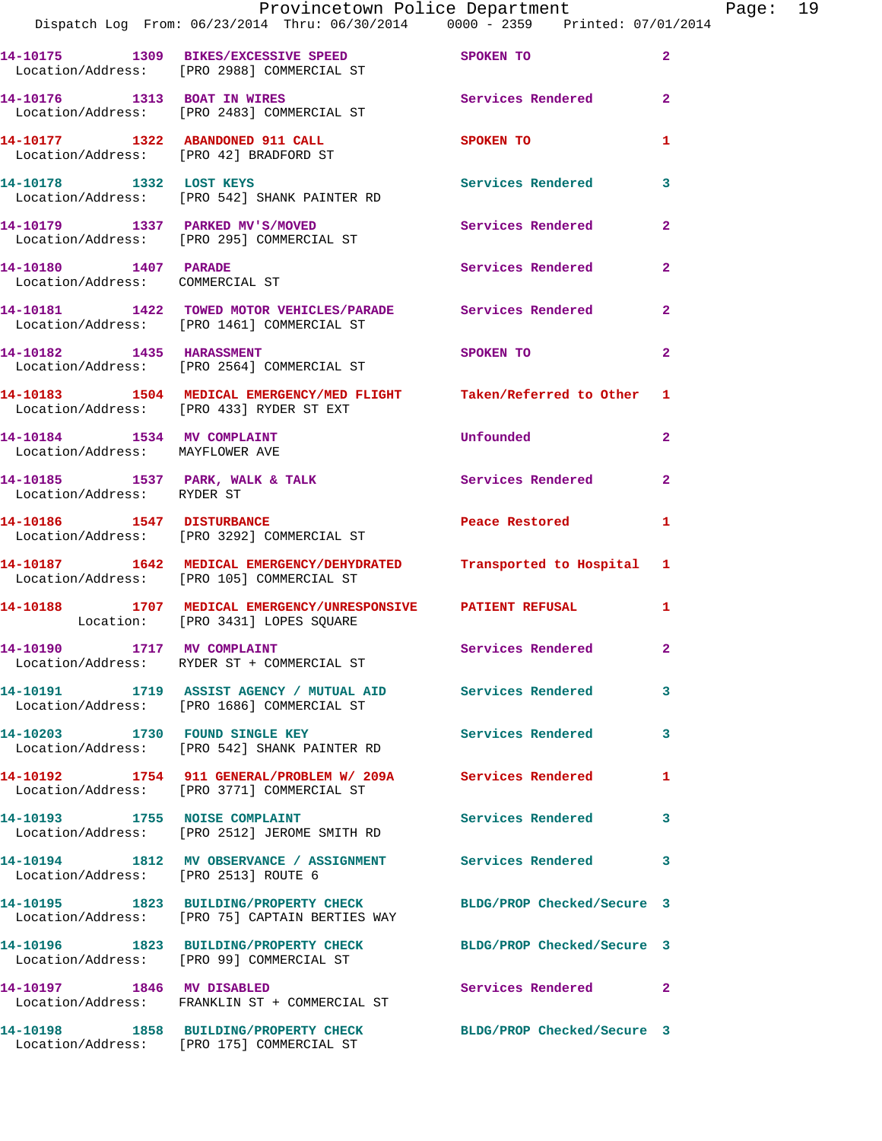|                                                               | Provincetown Police Department<br>Dispatch Log From: 06/23/2014 Thru: 06/30/2014 0000 - 2359 Printed: 07/01/2014 |                            |                |
|---------------------------------------------------------------|------------------------------------------------------------------------------------------------------------------|----------------------------|----------------|
|                                                               |                                                                                                                  |                            |                |
|                                                               | 14-10175 1309 BIKES/EXCESSIVE SPEED<br>Location/Address: [PRO 2988] COMMERCIAL ST                                | SPOKEN TO                  | $\overline{a}$ |
|                                                               | 14-10176 1313 BOAT IN WIRES<br>Location/Address: [PRO 2483] COMMERCIAL ST                                        | <b>Services Rendered</b>   | $\mathbf{2}$   |
| 14-10177 1322 ABANDONED 911 CALL                              | Location/Address: [PRO 42] BRADFORD ST                                                                           | <b>SPOKEN TO</b>           | 1              |
|                                                               | 14-10178 1332 LOST KEYS<br>Location/Address: [PRO 542] SHANK PAINTER RD                                          | <b>Services Rendered</b>   | 3              |
|                                                               | 14-10179 1337 PARKED MV'S/MOVED<br>Location/Address: [PRO 295] COMMERCIAL ST                                     | Services Rendered          | $\overline{a}$ |
| 14-10180 1407 PARADE<br>Location/Address: COMMERCIAL ST       |                                                                                                                  | Services Rendered          | $\mathbf{2}$   |
|                                                               | 14-10181 1422 TOWED MOTOR VEHICLES/PARADE Services Rendered<br>Location/Address: [PRO 1461] COMMERCIAL ST        |                            | $\overline{a}$ |
| 14-10182 1435 HARASSMENT                                      | Location/Address: [PRO 2564] COMMERCIAL ST                                                                       | SPOKEN TO                  | $\mathbf{2}$   |
|                                                               | 14-10183 1504 MEDICAL EMERGENCY/MED FLIGHT Taken/Referred to Other<br>Location/Address: [PRO 433] RYDER ST EXT   |                            | 1              |
| 14-10184 1534 MV COMPLAINT<br>Location/Address: MAYFLOWER AVE |                                                                                                                  | Unfounded                  | $\mathbf{2}$   |
| 14-10185 1537 PARK, WALK & TALK<br>Location/Address: RYDER ST |                                                                                                                  | Services Rendered          | $\mathbf{2}$   |
|                                                               | 14-10186 1547 DISTURBANCE<br>Location/Address: [PRO 3292] COMMERCIAL ST                                          | Peace Restored             | 1              |
|                                                               | 14-10187 1642 MEDICAL EMERGENCY/DEHYDRATED Transported to Hospital<br>Location/Address: [PRO 105] COMMERCIAL ST  |                            | 1              |
|                                                               | 14-10188 1707 MEDICAL EMERGENCY/UNRESPONSIVE PATIENT REFUSAL<br>Location: [PRO 3431] LOPES SQUARE                |                            | 1              |
|                                                               | 14-10190 1717 MV COMPLAINT<br>Location/Address: RYDER ST + COMMERCIAL ST                                         | Services Rendered          |                |
|                                                               | 14-10191 1719 ASSIST AGENCY / MUTUAL AID Services Rendered<br>Location/Address: [PRO 1686] COMMERCIAL ST         |                            | 3              |
| 14-10203 1730 FOUND SINGLE KEY                                | Location/Address: [PRO 542] SHANK PAINTER RD                                                                     | Services Rendered          | 3              |
|                                                               | 14-10192 1754 911 GENERAL/PROBLEM W/ 209A Services Rendered<br>Location/Address: [PRO 3771] COMMERCIAL ST        |                            | 1              |
| 14-10193 1755 NOISE COMPLAINT                                 | Location/Address: [PRO 2512] JEROME SMITH RD                                                                     | Services Rendered          | 3              |
| Location/Address: [PRO 2513] ROUTE 6                          | 14-10194 1812 MV OBSERVANCE / ASSIGNMENT Services Rendered                                                       |                            | 3              |
|                                                               | 14-10195 1823 BUILDING/PROPERTY CHECK<br>Location/Address: [PRO 75] CAPTAIN BERTIES WAY                          | BLDG/PROP Checked/Secure 3 |                |
|                                                               | 14-10196 1823 BUILDING/PROPERTY CHECK<br>Location/Address: [PRO 99] COMMERCIAL ST                                | BLDG/PROP Checked/Secure 3 |                |
| 14-10197 1846 MV DISABLED                                     | Location/Address: FRANKLIN ST + COMMERCIAL ST                                                                    | Services Rendered          | 2              |
|                                                               | 14-10198 1858 BUILDING/PROPERTY CHECK<br>Location/Address: [PRO 175] COMMERCIAL ST                               | BLDG/PROP Checked/Secure 3 |                |

Page: 19<br>14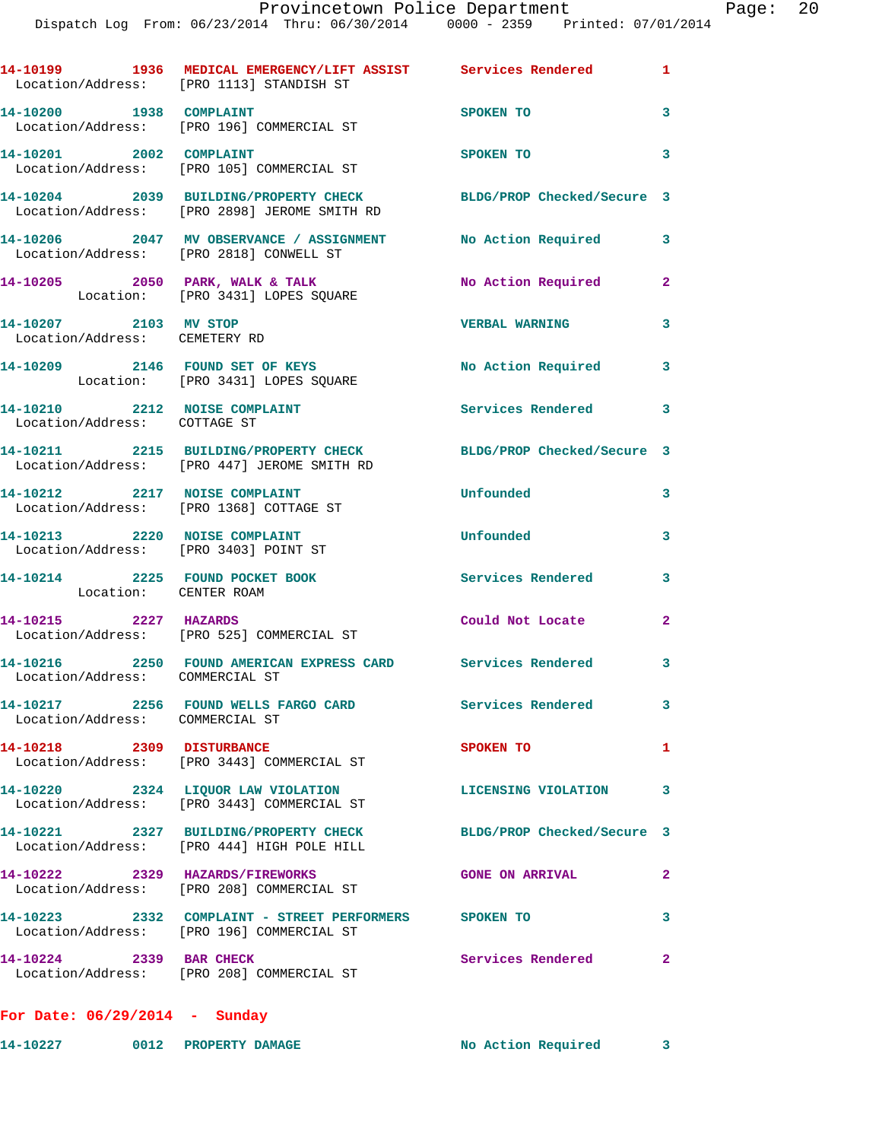|                                                                        | 14-10199 1936 MEDICAL EMERGENCY/LIFT ASSIST Services Rendered 1<br>Location/Address: [PRO 1113] STANDISH ST      |                            |                         |
|------------------------------------------------------------------------|------------------------------------------------------------------------------------------------------------------|----------------------------|-------------------------|
| 14-10200 1938 COMPLAINT                                                | Location/Address: [PRO 196] COMMERCIAL ST                                                                        | SPOKEN TO                  | $\mathbf{3}$            |
| 14-10201 2002 COMPLAINT                                                | Location/Address: [PRO 105] COMMERCIAL ST                                                                        | <b>SPOKEN TO</b>           | $\mathbf{3}$            |
|                                                                        | 14-10204 2039 BUILDING/PROPERTY CHECK BLDG/PROP Checked/Secure 3<br>Location/Address: [PRO 2898] JEROME SMITH RD |                            |                         |
|                                                                        | 14-10206 2047 MV OBSERVANCE / ASSIGNMENT No Action Required 3<br>Location/Address: [PRO 2818] CONWELL ST         |                            |                         |
|                                                                        | 14-10205 2050 PARK, WALK & TALK<br>Location: [PRO 3431] LOPES SQUARE                                             | No Action Required         | $\overline{2}$          |
| 14-10207 2103 MV STOP<br>Location/Address: CEMETERY RD                 |                                                                                                                  | <b>VERBAL WARNING</b>      | $\overline{\mathbf{3}}$ |
|                                                                        | 14-10209 2146 FOUND SET OF KEYS<br>Location: [PRO 3431] LOPES SQUARE                                             | No Action Required         | 3                       |
| 14-10210 2212 NOISE COMPLAINT<br>Location/Address: COTTAGE ST          |                                                                                                                  | Services Rendered 3        |                         |
|                                                                        | 14-10211 2215 BUILDING/PROPERTY CHECK<br>Location/Address: [PRO 447] JEROME SMITH RD                             | BLDG/PROP Checked/Secure 3 |                         |
| 14-10212 2217 NOISE COMPLAINT                                          | Location/Address: [PRO 1368] COTTAGE ST                                                                          | Unfounded                  | 3                       |
| 14-10213 2220 NOISE COMPLAINT<br>Location/Address: [PRO 3403] POINT ST |                                                                                                                  | Unfounded                  | 3                       |
| 14-10214 2225 FOUND POCKET BOOK<br>Location: CENTER ROAM               |                                                                                                                  | <b>Services Rendered</b>   | 3                       |
| 14-10215 2227 HAZARDS                                                  | Location/Address: [PRO 525] COMMERCIAL ST                                                                        | Could Not Locate           | $\overline{2}$          |
| Location/Address: COMMERCIAL ST                                        | 14-10216 2250 FOUND AMERICAN EXPRESS CARD Services Rendered 3                                                    |                            |                         |
| Location/Address: COMMERCIAL ST                                        | 14-10217 2256 FOUND WELLS FARGO CARD                                                                             | Services Rendered          | 3 <sup>7</sup>          |
| 14-10218 2309 DISTURBANCE                                              | Location/Address: [PRO 3443] COMMERCIAL ST                                                                       | SPOKEN TO                  | $\mathbf{1}$            |
|                                                                        | 14-10220 2324 LIQUOR LAW VIOLATION<br>Location/Address: [PRO 3443] COMMERCIAL ST                                 | <b>LICENSING VIOLATION</b> | 3                       |
|                                                                        | 14-10221 2327 BUILDING/PROPERTY CHECK BLDG/PROP Checked/Secure 3<br>Location/Address: [PRO 444] HIGH POLE HILL   |                            |                         |
|                                                                        | 14-10222 2329 HAZARDS/FIREWORKS<br>Location/Address: [PRO 208] COMMERCIAL ST                                     | <b>GONE ON ARRIVAL</b>     | $\mathbf{2}$            |
|                                                                        | 14-10223 2332 COMPLAINT - STREET PERFORMERS SPOKEN TO<br>Location/Address: [PRO 196] COMMERCIAL ST               |                            | 3                       |
| 14-10224 2339 BAR CHECK                                                | Location/Address: [PRO 208] COMMERCIAL ST                                                                        | Services Rendered          | $\overline{a}$          |
| For Date: $06/29/2014$ - Sunday                                        |                                                                                                                  |                            |                         |

**14-10227 0012 PROPERTY DAMAGE No Action Required 3**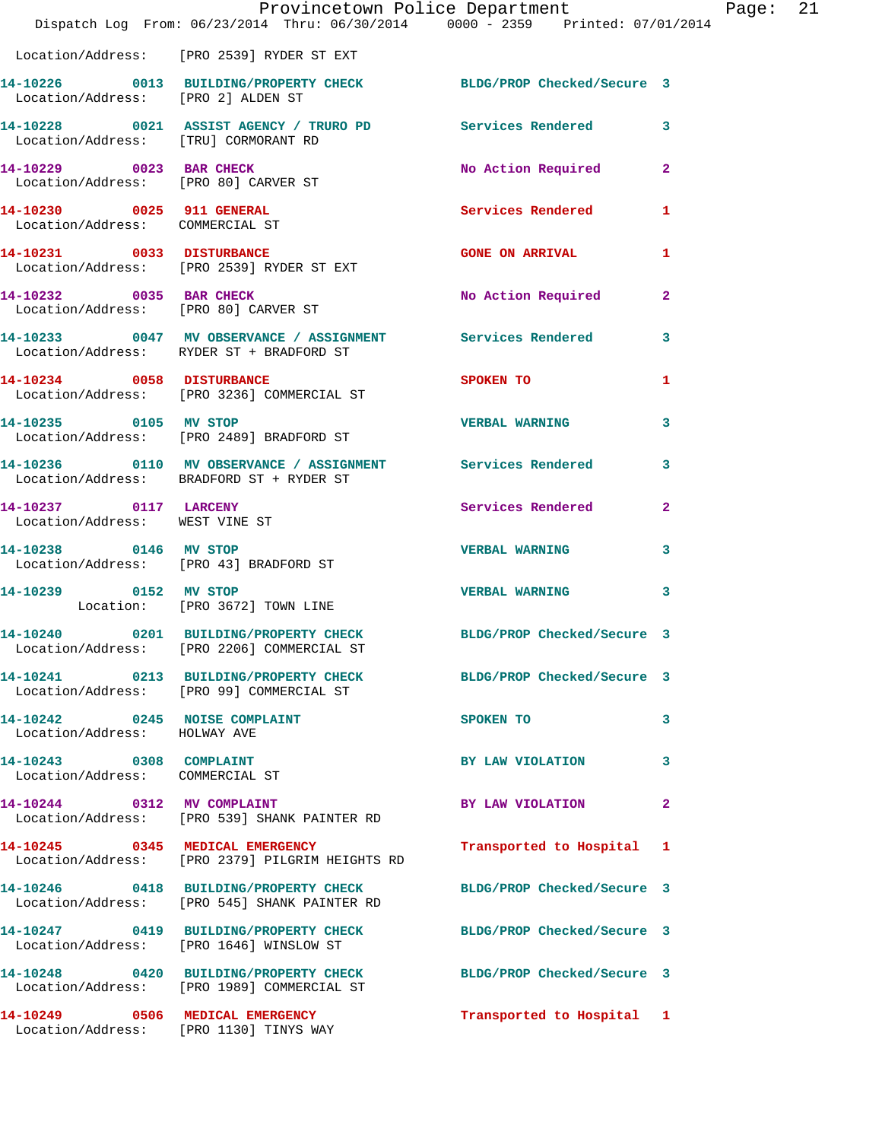|                                                                 | Provincetown Police Department<br>Dispatch Log From: 06/23/2014 Thru: 06/30/2014 0000 - 2359 Printed: 07/01/2014  |                            |              |
|-----------------------------------------------------------------|-------------------------------------------------------------------------------------------------------------------|----------------------------|--------------|
|                                                                 | Location/Address: [PRO 2539] RYDER ST EXT                                                                         |                            |              |
|                                                                 | 14-10226 0013 BUILDING/PROPERTY CHECK BLDG/PROP Checked/Secure 3<br>Location/Address: [PRO 2] ALDEN ST            |                            |              |
| Location/Address: [TRU] CORMORANT RD                            | 14-10228 0021 ASSIST AGENCY / TRURO PD Services Rendered                                                          |                            | 3            |
| 14-10229 0023 BAR CHECK<br>Location/Address: [PRO 80] CARVER ST |                                                                                                                   | No Action Required         | $\mathbf{2}$ |
| 14-10230 0025 911 GENERAL<br>Location/Address: COMMERCIAL ST    |                                                                                                                   | Services Rendered          | 1            |
| 14-10231 0033 DISTURBANCE                                       | Location/Address: [PRO 2539] RYDER ST EXT                                                                         | <b>GONE ON ARRIVAL</b>     | 1            |
| 14-10232 0035 BAR CHECK<br>Location/Address: [PRO 80] CARVER ST |                                                                                                                   | No Action Required         | $\mathbf{2}$ |
|                                                                 | 14-10233 0047 MV OBSERVANCE / ASSIGNMENT Services Rendered<br>Location/Address: RYDER ST + BRADFORD ST            |                            | 3            |
|                                                                 | 14-10234 0058 DISTURBANCE<br>Location/Address: [PRO 3236] COMMERCIAL ST                                           | SPOKEN TO                  | 1            |
| 14-10235 0105 MV STOP                                           | Location/Address: [PRO 2489] BRADFORD ST                                                                          | <b>VERBAL WARNING</b>      | 3            |
|                                                                 | 14-10236     0110 MV OBSERVANCE / ASSIGNMENT      Services Rendered<br>Location/Address:   BRADFORD ST + RYDER ST |                            | 3            |
| 14-10237 0117 LARCENY<br>Location/Address: WEST VINE ST         |                                                                                                                   | Services Rendered          | $\mathbf{2}$ |
| 14-10238 0146 MV STOP<br>Location/Address: [PRO 43] BRADFORD ST |                                                                                                                   | <b>VERBAL WARNING</b>      | 3            |
| 14-10239 0152 MV STOP                                           | Location: [PRO 3672] TOWN LINE                                                                                    | <b>VERBAL WARNING</b>      | 3            |
|                                                                 | 14-10240 0201 BUILDING/PROPERTY CHECK BLDG/PROP Checked/Secure 3<br>Location/Address: [PRO 2206] COMMERCIAL ST    |                            |              |
|                                                                 | 14-10241 0213 BUILDING/PROPERTY CHECK<br>Location/Address: [PRO 99] COMMERCIAL ST                                 | BLDG/PROP Checked/Secure 3 |              |
| 14-10242 0245 NOISE COMPLAINT<br>Location/Address: HOLWAY AVE   |                                                                                                                   | SPOKEN TO                  | 3            |
| 14-10243 0308 COMPLAINT<br>Location/Address: COMMERCIAL ST      |                                                                                                                   | BY LAW VIOLATION           | 3            |
|                                                                 | 14-10244 0312 MV COMPLAINT<br>Location/Address: [PRO 539] SHANK PAINTER RD                                        | BY LAW VIOLATION           | $\mathbf{2}$ |
| 14-10245 0345 MEDICAL EMERGENCY                                 | Location/Address: [PRO 2379] PILGRIM HEIGHTS RD                                                                   | Transported to Hospital    | 1            |
|                                                                 | 14-10246 0418 BUILDING/PROPERTY CHECK BLDG/PROP Checked/Secure 3<br>Location/Address: [PRO 545] SHANK PAINTER RD  |                            |              |
| Location/Address: [PRO 1646] WINSLOW ST                         | 14-10247 0419 BUILDING/PROPERTY CHECK                                                                             | BLDG/PROP Checked/Secure 3 |              |
|                                                                 | 14-10248 0420 BUILDING/PROPERTY CHECK<br>Location/Address: [PRO 1989] COMMERCIAL ST                               | BLDG/PROP Checked/Secure 3 |              |
| 14-10249 0506 MEDICAL EMERGENCY                                 | Location/Address: [PRO 1130] TINYS WAY                                                                            | Transported to Hospital 1  |              |

Page:  $21$ <br>014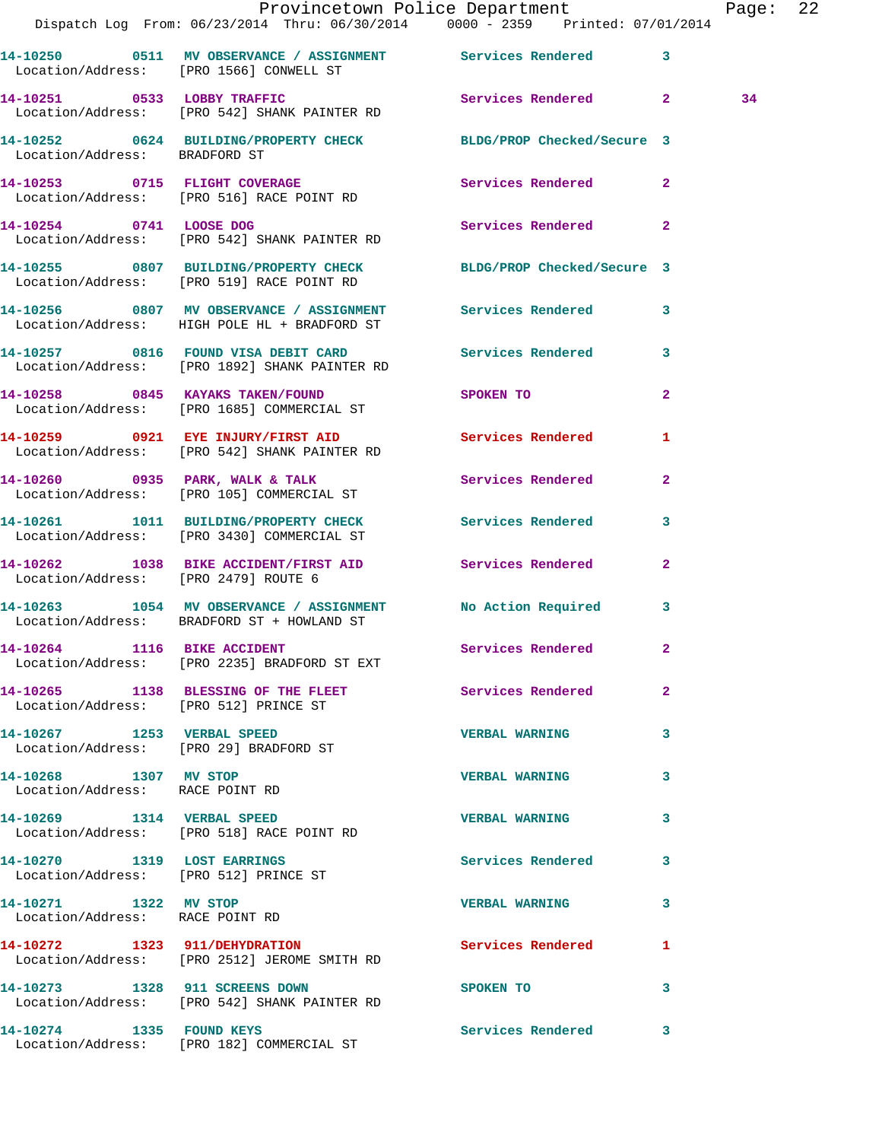|                                                                      |                                                                                                               | Provincetown Police Department<br>Dispatch Log From: 06/23/2014 Thru: 06/30/2014 0000 - 2359 Printed: 07/01/2014 | Page: 22 |  |
|----------------------------------------------------------------------|---------------------------------------------------------------------------------------------------------------|------------------------------------------------------------------------------------------------------------------|----------|--|
|                                                                      | 14-10250 0511 MV OBSERVANCE / ASSIGNMENT Services Rendered 3<br>Location/Address: [PRO 1566] CONWELL ST       |                                                                                                                  |          |  |
|                                                                      | Location/Address: [PRO 542] SHANK PAINTER RD                                                                  | 14-10251 0533 LOBBY TRAFFIC Services Rendered 2                                                                  | 34       |  |
|                                                                      | 14-10252 0624 BUILDING/PROPERTY CHECK BLDG/PROP Checked/Secure 3<br>Location/Address: BRADFORD ST             |                                                                                                                  |          |  |
|                                                                      | 14-10253 0715 FLIGHT COVERAGE Services Rendered 2<br>Location/Address: [PRO 516] RACE POINT RD                |                                                                                                                  |          |  |
|                                                                      | 14-10254 0741 LOOSE DOG<br>Location/Address: [PRO 542] SHANK PAINTER RD                                       | Services Rendered 2                                                                                              |          |  |
|                                                                      | 14-10255 0807 BUILDING/PROPERTY CHECK BLDG/PROP Checked/Secure 3<br>Location/Address: [PRO 519] RACE POINT RD |                                                                                                                  |          |  |
|                                                                      | 14-10256 0807 MV OBSERVANCE / ASSIGNMENT Services Rendered 3<br>Location/Address: HIGH POLE HL + BRADFORD ST  |                                                                                                                  |          |  |
|                                                                      | 14-10257 0816 FOUND VISA DEBIT CARD Services Rendered 3<br>Location/Address: [PRO 1892] SHANK PAINTER RD      |                                                                                                                  |          |  |
|                                                                      | 14-10258 0845 KAYAKS TAKEN/FOUND SPOKEN TO<br>Location/Address: [PRO 1685] COMMERCIAL ST                      | $\overline{2}$                                                                                                   |          |  |
|                                                                      | 14-10259 0921 EYE INJURY/FIRST AID Services Rendered<br>Location/Address: [PRO 542] SHANK PAINTER RD          | 1                                                                                                                |          |  |
|                                                                      | 14-10260 0935 PARK, WALK & TALK Services Rendered 2<br>Location/Address: [PRO 105] COMMERCIAL ST              |                                                                                                                  |          |  |
|                                                                      | 14-10261 1011 BUILDING/PROPERTY CHECK Services Rendered 3<br>Location/Address: [PRO 3430] COMMERCIAL ST       |                                                                                                                  |          |  |
| Location/Address: [PRO 2479] ROUTE 6                                 | 14-10262 1038 BIKE ACCIDENT/FIRST AID Services Rendered 2                                                     |                                                                                                                  |          |  |
|                                                                      | 14-10263 1054 MV OBSERVANCE / ASSIGNMENT No Action Required 3<br>Location/Address: BRADFORD ST + HOWLAND ST   |                                                                                                                  |          |  |
|                                                                      | 14-10264 1116 BIKE ACCIDENT Services Rendered<br>Location/Address: [PRO 2235] BRADFORD ST EXT                 |                                                                                                                  |          |  |
| Location/Address: [PRO 512] PRINCE ST                                | 14-10265 1138 BLESSING OF THE FLEET Services Rendered                                                         | $\mathbf{2}$                                                                                                     |          |  |
| 14-10267 1253 VERBAL SPEED<br>Location/Address: [PRO 29] BRADFORD ST |                                                                                                               | 3<br><b>VERBAL WARNING</b>                                                                                       |          |  |
| 14-10268 1307 MV STOP<br>Location/Address: RACE POINT RD             |                                                                                                               | <b>VERBAL WARNING</b><br>3                                                                                       |          |  |
|                                                                      | 14-10269 1314 VERBAL SPEED<br>Location/Address: [PRO 518] RACE POINT RD                                       | <b>VERBAL WARNING</b><br>3                                                                                       |          |  |
| Location/Address: [PRO 512] PRINCE ST                                | 14-10270 1319 LOST EARRINGS                                                                                   | Services Rendered<br>3                                                                                           |          |  |
| 14-10271 1322 MV STOP<br>Location/Address: RACE POINT RD             |                                                                                                               | <b>VERBAL WARNING</b><br>3                                                                                       |          |  |
|                                                                      | 14-10272 1323 911/DEHYDRATION<br>Location/Address: [PRO 2512] JEROME SMITH RD                                 | <b>Services Rendered</b><br>$\mathbf{1}$                                                                         |          |  |
| 14-10273 1328 911 SCREENS DOWN                                       | Location/Address: [PRO 542] SHANK PAINTER RD                                                                  | <b>SPOKEN TO</b><br>3                                                                                            |          |  |
|                                                                      | 14-10274 1335 FOUND KEYS<br>Location/Address: [PRO 182] COMMERCIAL ST                                         | Services Rendered 3                                                                                              |          |  |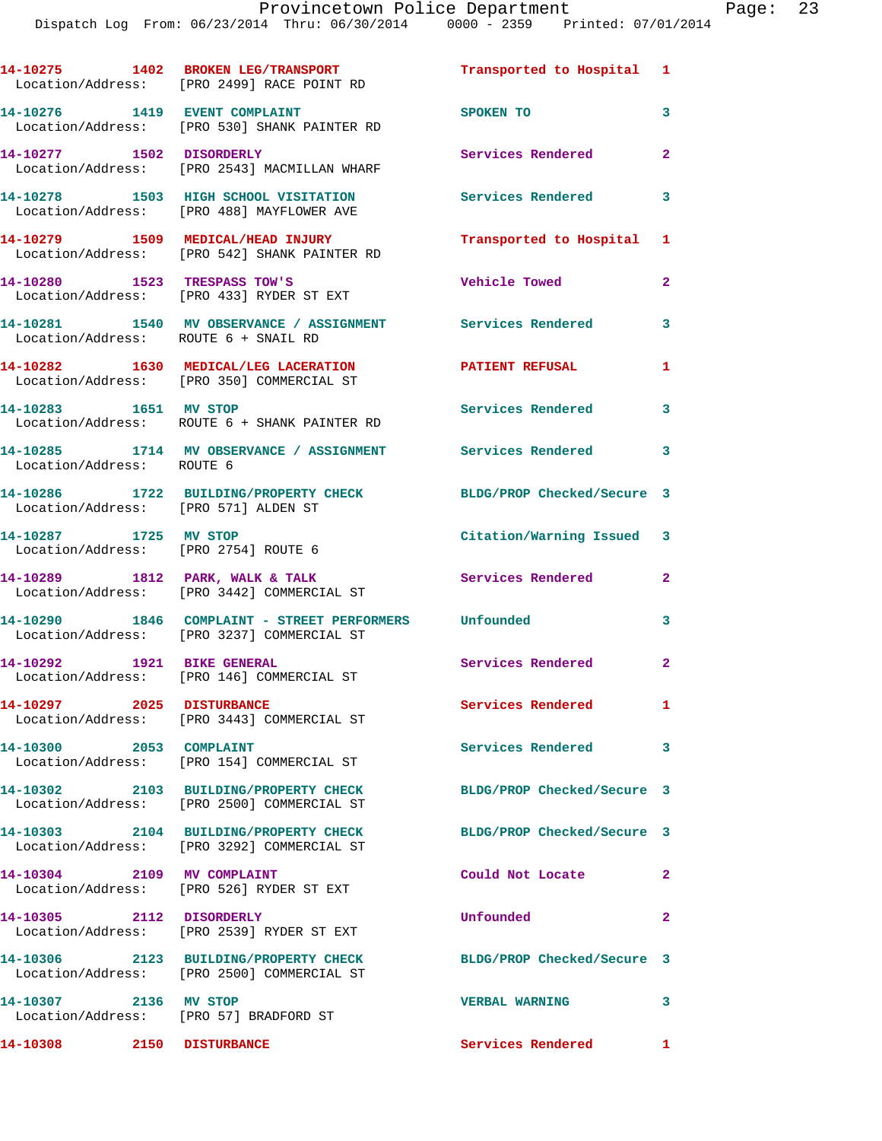|                                                               | 14-10275 1402 BROKEN LEG/TRANSPORT<br>Location/Address: [PRO 2499] RACE POINT RD                    | Transported to Hospital 1  |                         |
|---------------------------------------------------------------|-----------------------------------------------------------------------------------------------------|----------------------------|-------------------------|
| 14-10276 1419 EVENT COMPLAINT                                 | Location/Address: [PRO 530] SHANK PAINTER RD                                                        | SPOKEN TO                  | 3                       |
| 14-10277 1502 DISORDERLY                                      | Location/Address: [PRO 2543] MACMILLAN WHARF                                                        | Services Rendered          | $\mathbf{2}$            |
|                                                               | 14-10278 1503 HIGH SCHOOL VISITATION<br>Location/Address: [PRO 488] MAYFLOWER AVE                   | Services Rendered          | $\overline{\mathbf{3}}$ |
|                                                               | 14-10279 1509 MEDICAL/HEAD INJURY<br>Location/Address: [PRO 542] SHANK PAINTER RD                   | Transported to Hospital 1  |                         |
| 14-10280 1523 TRESPASS TOW'S                                  | Location/Address: [PRO 433] RYDER ST EXT                                                            | <b>Vehicle Towed</b>       | $\overline{2}$          |
| Location/Address: ROUTE 6 + SNAIL RD                          | 14-10281 1540 MV OBSERVANCE / ASSIGNMENT Services Rendered                                          |                            | 3                       |
|                                                               | 14-10282 1630 MEDICAL/LEG LACERATION<br>Location/Address: [PRO 350] COMMERCIAL ST                   | <b>PATIENT REFUSAL</b>     | 1                       |
| 14-10283 1651 MV STOP                                         | Location/Address: ROUTE 6 + SHANK PAINTER RD                                                        | <b>Services Rendered</b>   | 3                       |
| Location/Address: ROUTE 6                                     | 14-10285 1714 MV OBSERVANCE / ASSIGNMENT Services Rendered                                          |                            | 3                       |
| Location/Address: [PRO 571] ALDEN ST                          | 14-10286 1722 BUILDING/PROPERTY CHECK                                                               | BLDG/PROP Checked/Secure 3 |                         |
| 14-10287 1725 MV STOP<br>Location/Address: [PRO 2754] ROUTE 6 |                                                                                                     | Citation/Warning Issued 3  |                         |
|                                                               | 14-10289 1812 PARK, WALK & TALK<br>Location/Address: [PRO 3442] COMMERCIAL ST                       | <b>Services Rendered</b>   | $\mathbf{2}$            |
|                                                               | 14-10290 1846 COMPLAINT - STREET PERFORMERS Unfounded<br>Location/Address: [PRO 3237] COMMERCIAL ST |                            | 3                       |
| 14-10292 1921 BIKE GENERAL                                    | Location/Address: [PRO 146] COMMERCIAL ST                                                           | <b>Services Rendered</b> 2 |                         |
| 14-10297 2025 DISTURBANCE                                     | Location/Address: [PRO 3443] COMMERCIAL ST                                                          | Services Rendered          | $\mathbf{1}$            |
| 14-10300 2053 COMPLAINT                                       | Location/Address: [PRO 154] COMMERCIAL ST                                                           | Services Rendered          | 3                       |
|                                                               | 14-10302 2103 BUILDING/PROPERTY CHECK<br>Location/Address: [PRO 2500] COMMERCIAL ST                 | BLDG/PROP Checked/Secure 3 |                         |
|                                                               | 14-10303 2104 BUILDING/PROPERTY CHECK<br>Location/Address: [PRO 3292] COMMERCIAL ST                 | BLDG/PROP Checked/Secure 3 |                         |
| 14-10304 2109 MV COMPLAINT                                    | Location/Address: [PRO 526] RYDER ST EXT                                                            | Could Not Locate           | $\mathbf{2}$            |
| 14-10305 2112 DISORDERLY                                      | Location/Address: [PRO 2539] RYDER ST EXT                                                           | Unfounded                  | $\mathbf{2}$            |
|                                                               | 14-10306 2123 BUILDING/PROPERTY CHECK<br>Location/Address: [PRO 2500] COMMERCIAL ST                 | BLDG/PROP Checked/Secure 3 |                         |
| 14-10307 2136 MV STOP                                         | Location/Address: [PRO 57] BRADFORD ST                                                              | <b>VERBAL WARNING</b>      | 3                       |
|                                                               |                                                                                                     |                            |                         |

**14-10308 2150 DISTURBANCE Services Rendered 1**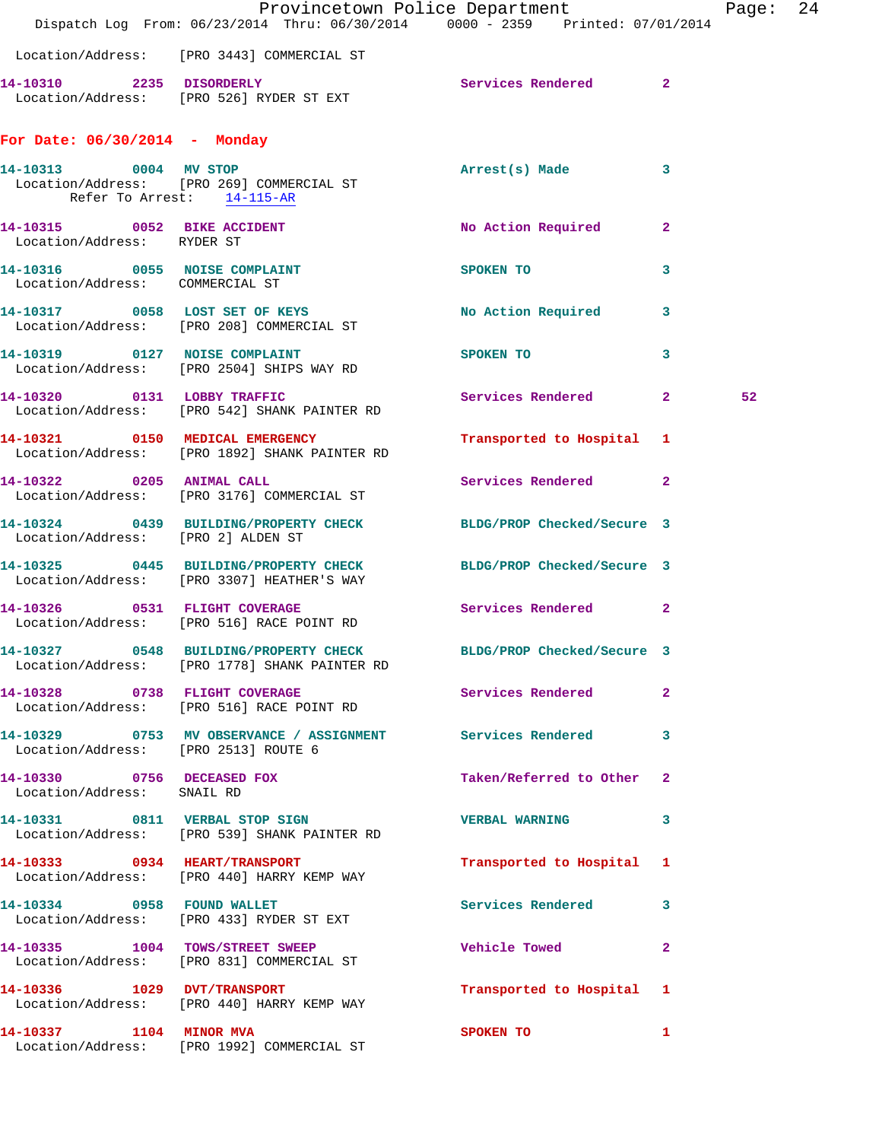|                                                          | Dispatch Log From: 06/23/2014 Thru: 06/30/2014 0000 - 2359 Printed: 07/01/2014                                 | Provincetown Police Department       | Page: 24 |  |
|----------------------------------------------------------|----------------------------------------------------------------------------------------------------------------|--------------------------------------|----------|--|
|                                                          | Location/Address: [PRO 3443] COMMERCIAL ST                                                                     |                                      |          |  |
|                                                          | 14-10310 2235 DISORDERLY<br>Location/Address: [PRO 526] RYDER ST EXT                                           | Services Rendered 2                  |          |  |
| For Date: $06/30/2014$ - Monday                          |                                                                                                                |                                      |          |  |
| 14-10313 0004 MV STOP<br>Refer To Arrest: 14-115-AR      | Location/Address: [PRO 269] COMMERCIAL ST                                                                      | Arrest(s) Made 3                     |          |  |
| Location/Address: RYDER ST                               | 14-10315 0052 BIKE ACCIDENT                                                                                    | No Action Required 2                 |          |  |
| Location/Address: COMMERCIAL ST                          | 14-10316 0055 NOISE COMPLAINT                                                                                  | SPOKEN TO<br>3                       |          |  |
|                                                          | 14-10317 0058 LOST SET OF KEYS<br>Location/Address: [PRO 208] COMMERCIAL ST                                    | No Action Required 3                 |          |  |
|                                                          | 14-10319 0127 NOISE COMPLAINT<br>Location/Address: [PRO 2504] SHIPS WAY RD                                     | <b>SPOKEN TO</b><br>$\mathbf{3}$     |          |  |
|                                                          | 14-10320 0131 LOBBY TRAFFIC<br>Location/Address: [PRO 542] SHANK PAINTER RD                                    | Services Rendered 2                  | 52       |  |
|                                                          | 14-10321 0150 MEDICAL EMERGENCY<br>Location/Address: [PRO 1892] SHANK PAINTER RD                               | Transported to Hospital 1            |          |  |
| 14-10322 0205 ANIMAL CALL                                | Location/Address: [PRO 3176] COMMERCIAL ST                                                                     | Services Rendered 2                  |          |  |
| Location/Address: [PRO 2] ALDEN ST                       | 14-10324 0439 BUILDING/PROPERTY CHECK BLDG/PROP Checked/Secure 3                                               |                                      |          |  |
|                                                          | 14-10325 0445 BUILDING/PROPERTY CHECK BLDG/PROP Checked/Secure 3<br>Location/Address: [PRO 3307] HEATHER'S WAY |                                      |          |  |
|                                                          | 14-10326 0531 FLIGHT COVERAGE<br>Location/Address: [PRO 516] RACE POINT RD                                     | Services Rendered 2                  |          |  |
|                                                          | 14-10327 0548 BUILDING/PROPERTY CHECK<br>Location/Address: [PRO 1778] SHANK PAINTER RD                         | BLDG/PROP Checked/Secure 3           |          |  |
|                                                          | 14-10328 0738 FLIGHT COVERAGE<br>Location/Address: [PRO 516] RACE POINT RD                                     | Services Rendered<br>$\overline{2}$  |          |  |
| Location/Address: [PRO 2513] ROUTE 6                     | 14-10329 0753 MV OBSERVANCE / ASSIGNMENT Services Rendered                                                     | $\mathbf{3}$                         |          |  |
| 14-10330 0756 DECEASED FOX<br>Location/Address: SNAIL RD |                                                                                                                | Taken/Referred to Other 2            |          |  |
|                                                          | 14-10331 0811 VERBAL STOP SIGN<br>Location/Address: [PRO 539] SHANK PAINTER RD                                 | VERBAL WARNING 3                     |          |  |
|                                                          | 14-10333 0934 HEART/TRANSPORT<br>Location/Address: [PRO 440] HARRY KEMP WAY                                    | Transported to Hospital 1            |          |  |
|                                                          | 14-10334 0958 FOUND WALLET<br>Location/Address: [PRO 433] RYDER ST EXT                                         | Services Rendered 3                  |          |  |
|                                                          | 14-10335 1004 TOWS/STREET SWEEP<br>Location/Address: [PRO 831] COMMERCIAL ST                                   | <b>Vehicle Towed</b><br>$\mathbf{2}$ |          |  |
|                                                          | 14-10336 1029 DVT/TRANSPORT<br>Location/Address: [PRO 440] HARRY KEMP WAY                                      | Transported to Hospital 1            |          |  |
|                                                          | 14-10337 1104 MINOR MVA<br>Location/Address: [PRO 1992] COMMERCIAL ST                                          | SPOKEN TO<br>$\mathbf{1}$            |          |  |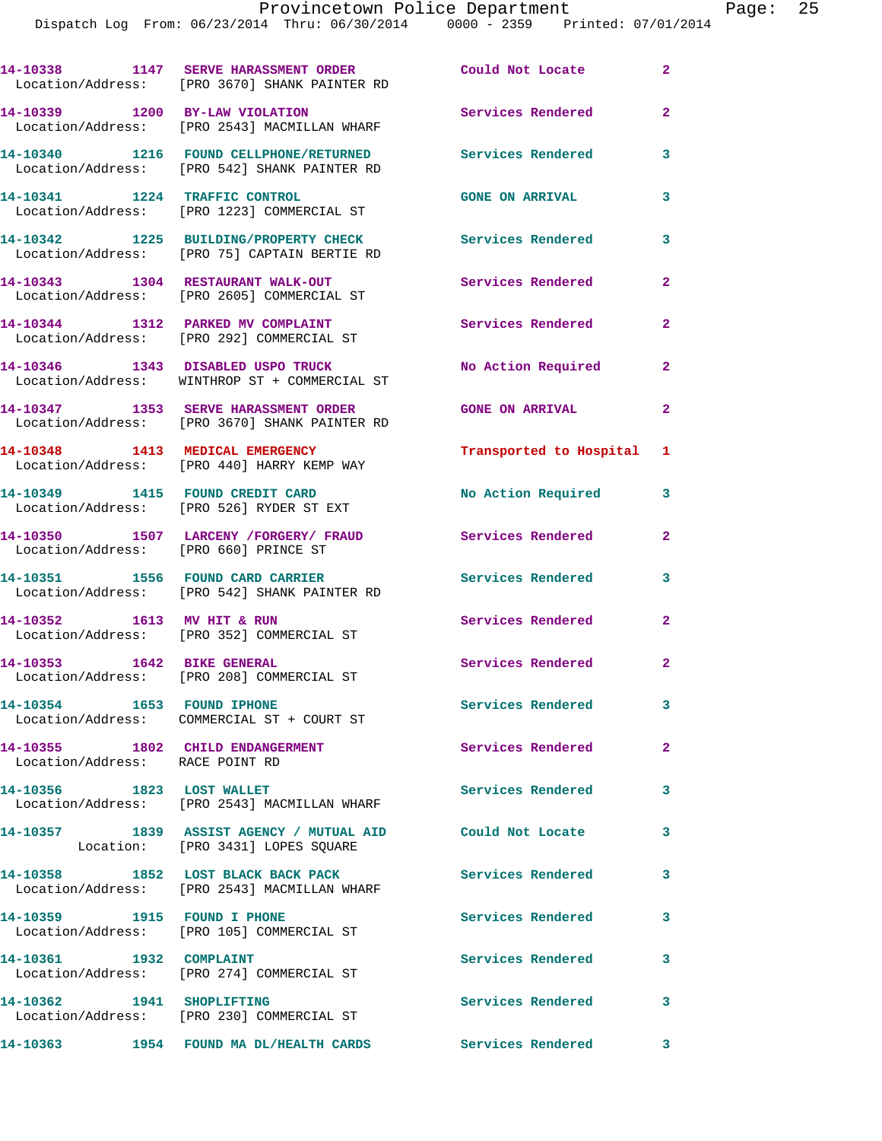|                                       | 14-10338 1147 SERVE HARASSMENT ORDER<br>Location/Address: [PRO 3670] SHANK PAINTER RD          | Could Not Locate         | $\overline{2}$          |
|---------------------------------------|------------------------------------------------------------------------------------------------|--------------------------|-------------------------|
|                                       | 14-10339 1200 BY-LAW VIOLATION<br>Location/Address: [PRO 2543] MACMILLAN WHARF                 | Services Rendered        | $\overline{a}$          |
|                                       | 14-10340 1216 FOUND CELLPHONE/RETURNED<br>Location/Address: [PRO 542] SHANK PAINTER RD         | Services Rendered        | 3                       |
|                                       | 14-10341 1224 TRAFFIC CONTROL<br>Location/Address: [PRO 1223] COMMERCIAL ST                    | <b>GONE ON ARRIVAL</b>   | 3                       |
|                                       | 14-10342 1225 BUILDING/PROPERTY CHECK<br>Location/Address: [PRO 75] CAPTAIN BERTIE RD          | Services Rendered        | 3                       |
|                                       | 14-10343 1304 RESTAURANT WALK-OUT<br>Location/Address: [PRO 2605] COMMERCIAL ST                | <b>Services Rendered</b> | $\mathbf{2}$            |
|                                       | 14-10344 1312 PARKED MV COMPLAINT<br>Location/Address: [PRO 292] COMMERCIAL ST                 | Services Rendered        | 2                       |
|                                       | 14-10346 1343 DISABLED USPO TRUCK<br>Location/Address: WINTHROP ST + COMMERCIAL ST             | No Action Required       | $\overline{\mathbf{2}}$ |
|                                       | 14-10347 1353 SERVE HARASSMENT ORDER<br>Location/Address: [PRO 3670] SHANK PAINTER RD          | <b>GONE ON ARRIVAL</b>   | 2                       |
|                                       | 14-10348 1413 MEDICAL EMERGENCY<br>Location/Address: [PRO 440] HARRY KEMP WAY                  | Transported to Hospital  | 1                       |
|                                       | 14-10349 1415 FOUND CREDIT CARD<br>Location/Address: [PRO 526] RYDER ST EXT                    | No Action Required       | 3                       |
| Location/Address: [PRO 660] PRINCE ST | 14-10350 1507 LARCENY /FORGERY/ FRAUD                                                          | Services Rendered        | $\overline{a}$          |
|                                       | 14-10351 1556 FOUND CARD CARRIER<br>Location/Address: [PRO 542] SHANK PAINTER RD               | <b>Services Rendered</b> | 3                       |
| 14-10352 1613 MV HIT & RUN            | Location/Address: [PRO 352] COMMERCIAL ST                                                      | Services Rendered        | $\mathbf{2}$            |
| 14-10353 1642 BIKE GENERAL            | Location/Address: [PRO 208] COMMERCIAL ST                                                      | Services Rendered        | $\mathbf{2}$            |
| 14-10354 1653 FOUND IPHONE            | Location/Address: COMMERCIAL ST + COURT ST                                                     | <b>Services Rendered</b> | 3                       |
| Location/Address: RACE POINT RD       | 14-10355 1802 CHILD ENDANGERMENT                                                               | Services Rendered        | $\overline{a}$          |
| 14-10356 1823 LOST WALLET             | Location/Address: [PRO 2543] MACMILLAN WHARF                                                   | Services Rendered        | 3                       |
|                                       | 14-10357 1839 ASSIST AGENCY / MUTUAL AID Could Not Locate<br>Location: [PRO 3431] LOPES SQUARE |                          | 3                       |
|                                       | 14-10358 1852 LOST BLACK BACK PACK<br>Location/Address: [PRO 2543] MACMILLAN WHARF             | <b>Services Rendered</b> | 3                       |
|                                       | 14-10359 1915 FOUND I PHONE<br>Location/Address: [PRO 105] COMMERCIAL ST                       | <b>Services Rendered</b> | 3                       |
| 14-10361 1932 COMPLAINT               | Location/Address: [PRO 274] COMMERCIAL ST                                                      | Services Rendered        | 3                       |
| 14-10362 1941 SHOPLIFTING             | Location/Address: [PRO 230] COMMERCIAL ST                                                      | <b>Services Rendered</b> | 3                       |
|                                       | 14-10363 1954 FOUND MA DL/HEALTH CARDS Services Rendered                                       |                          | 3                       |